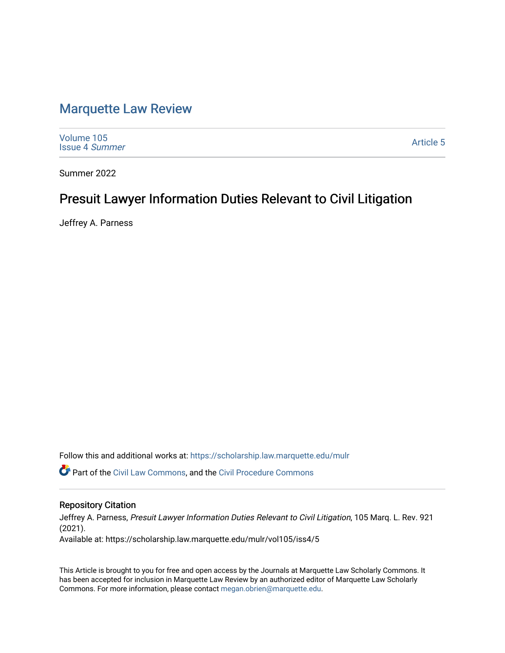## [Marquette Law Review](https://scholarship.law.marquette.edu/mulr)

[Volume 105](https://scholarship.law.marquette.edu/mulr/vol105) [Issue 4](https://scholarship.law.marquette.edu/mulr/vol105/iss4) Summer

[Article 5](https://scholarship.law.marquette.edu/mulr/vol105/iss4/5) 

Summer 2022

# Presuit Lawyer Information Duties Relevant to Civil Litigation

Jeffrey A. Parness

Follow this and additional works at: [https://scholarship.law.marquette.edu/mulr](https://scholarship.law.marquette.edu/mulr?utm_source=scholarship.law.marquette.edu%2Fmulr%2Fvol105%2Fiss4%2F5&utm_medium=PDF&utm_campaign=PDFCoverPages) 

Part of the [Civil Law Commons](https://network.bepress.com/hgg/discipline/835?utm_source=scholarship.law.marquette.edu%2Fmulr%2Fvol105%2Fiss4%2F5&utm_medium=PDF&utm_campaign=PDFCoverPages), and the [Civil Procedure Commons](https://network.bepress.com/hgg/discipline/584?utm_source=scholarship.law.marquette.edu%2Fmulr%2Fvol105%2Fiss4%2F5&utm_medium=PDF&utm_campaign=PDFCoverPages) 

## Repository Citation

Jeffrey A. Parness, Presuit Lawyer Information Duties Relevant to Civil Litigation, 105 Marq. L. Rev. 921 (2021). Available at: https://scholarship.law.marquette.edu/mulr/vol105/iss4/5

This Article is brought to you for free and open access by the Journals at Marquette Law Scholarly Commons. It has been accepted for inclusion in Marquette Law Review by an authorized editor of Marquette Law Scholarly Commons. For more information, please contact [megan.obrien@marquette.edu](mailto:megan.obrien@marquette.edu).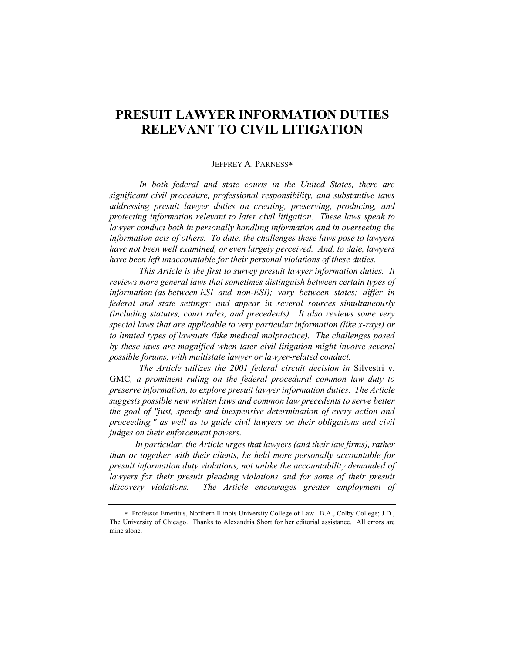## **PRESUIT LAWYER INFORMATION DUTIES RELEVANT TO CIVIL LITIGATION**

## JEFFREY A. PARNESS\*

*In both federal and state courts in the United States, there are significant civil procedure, professional responsibility, and substantive laws addressing presuit lawyer duties on creating, preserving, producing, and protecting information relevant to later civil litigation. These laws speak to lawyer conduct both in personally handling information and in overseeing the information acts of others. To date, the challenges these laws pose to lawyers have not been well examined, or even largely perceived. And, to date, lawyers have been left unaccountable for their personal violations of these duties.*

*This Article is the first to survey presuit lawyer information duties. It reviews more general laws that sometimes distinguish between certain types of information (as between ESI and non-ESI); vary between states; differ in federal and state settings; and appear in several sources simultaneously (including statutes, court rules, and precedents). It also reviews some very special laws that are applicable to very particular information (like x-rays) or to limited types of lawsuits (like medical malpractice). The challenges posed*  by these laws are magnified when later civil litigation might involve several *possible forums, with multistate lawyer or lawyer-related conduct.*

*The Article utilizes the 2001 federal circuit decision in* Silvestri v. GMC*, a prominent ruling on the federal procedural common law duty to preserve information, to explore presuit lawyer information duties. The Article suggests possible new written laws and common law precedents to serve better the goal of "just, speedy and inexpensive determination of every action and proceeding," as well as to guide civil lawyers on their obligations and civil judges on their enforcement powers.* 

*In particular, the Article urges that lawyers (and their law firms), rather than or together with their clients, be held more personally accountable for presuit information duty violations, not unlike the accountability demanded of*  lawyers for their presuit pleading violations and for some of their presuit *discovery violations. The Article encourages greater employment of* 

<sup>\*</sup> Professor Emeritus, Northern Illinois University College of Law. B.A., Colby College; J.D., The University of Chicago. Thanks to Alexandria Short for her editorial assistance. All errors are mine alone.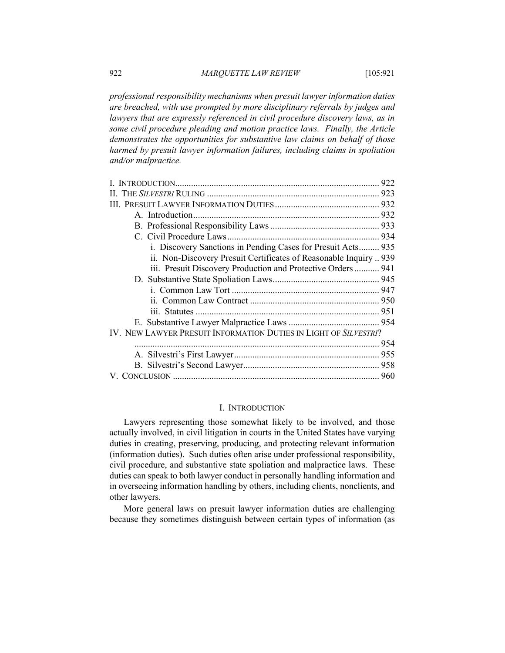*professional responsibility mechanisms when presuit lawyer information duties are breached, with use prompted by more disciplinary referrals by judges and*  lawyers that are expressly referenced in civil procedure discovery laws, as in *some civil procedure pleading and motion practice laws. Finally, the Article demonstrates the opportunities for substantive law claims on behalf of those harmed by presuit lawyer information failures, including claims in spoliation and/or malpractice.*

| i. Discovery Sanctions in Pending Cases for Presuit Acts 935      |  |
|-------------------------------------------------------------------|--|
| ii. Non-Discovery Presuit Certificates of Reasonable Inquiry  939 |  |
| iii. Presuit Discovery Production and Protective Orders 941       |  |
|                                                                   |  |
|                                                                   |  |
|                                                                   |  |
|                                                                   |  |
|                                                                   |  |
| IV. NEW LAWYER PRESUIT INFORMATION DUTIES IN LIGHT OF SILVESTRI?  |  |
|                                                                   |  |
|                                                                   |  |
|                                                                   |  |
|                                                                   |  |
|                                                                   |  |

## I. INTRODUCTION

Lawyers representing those somewhat likely to be involved, and those actually involved, in civil litigation in courts in the United States have varying duties in creating, preserving, producing, and protecting relevant information (information duties). Such duties often arise under professional responsibility, civil procedure, and substantive state spoliation and malpractice laws. These duties can speak to both lawyer conduct in personally handling information and in overseeing information handling by others, including clients, nonclients, and other lawyers.

More general laws on presuit lawyer information duties are challenging because they sometimes distinguish between certain types of information (as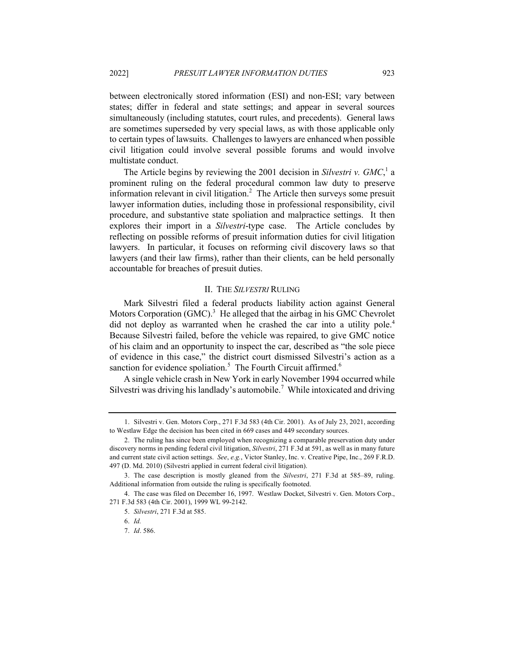between electronically stored information (ESI) and non-ESI; vary between states; differ in federal and state settings; and appear in several sources simultaneously (including statutes, court rules, and precedents). General laws are sometimes superseded by very special laws, as with those applicable only to certain types of lawsuits. Challenges to lawyers are enhanced when possible civil litigation could involve several possible forums and would involve multistate conduct.

The Article begins by reviewing the 2001 decision in *Silvestri v. GMC*, <sup>1</sup> a prominent ruling on the federal procedural common law duty to preserve information relevant in civil litigation.<sup>2</sup> The Article then surveys some presuit lawyer information duties, including those in professional responsibility, civil procedure, and substantive state spoliation and malpractice settings. It then explores their import in a *Silvestri*-type case. The Article concludes by reflecting on possible reforms of presuit information duties for civil litigation lawyers. In particular, it focuses on reforming civil discovery laws so that lawyers (and their law firms), rather than their clients, can be held personally accountable for breaches of presuit duties.

#### II. THE *SILVESTRI* RULING

Mark Silvestri filed a federal products liability action against General Motors Corporation  $(GMC)^3$ . He alleged that the airbag in his GMC Chevrolet did not deploy as warranted when he crashed the car into a utility pole.<sup>4</sup> Because Silvestri failed, before the vehicle was repaired, to give GMC notice of his claim and an opportunity to inspect the car, described as "the sole piece of evidence in this case," the district court dismissed Silvestri's action as a sanction for evidence spoliation.<sup>5</sup> The Fourth Circuit affirmed.<sup>6</sup>

A single vehicle crash in New York in early November 1994 occurred while Silvestri was driving his landlady's automobile.<sup>7</sup> While intoxicated and driving

<sup>1.</sup> Silvestri v. Gen. Motors Corp., 271 F.3d 583 (4th Cir. 2001). As of July 23, 2021, according to Westlaw Edge the decision has been cited in 669 cases and 449 secondary sources.

<sup>2.</sup> The ruling has since been employed when recognizing a comparable preservation duty under discovery norms in pending federal civil litigation, *Silvestri*, 271 F.3d at 591, as well as in many future and current state civil action settings. *See*, *e.g.*, Victor Stanley, Inc. v. Creative Pipe, Inc., 269 F.R.D. 497 (D. Md. 2010) (Silvestri applied in current federal civil litigation).

<sup>3.</sup> The case description is mostly gleaned from the *Silvestri*, 271 F.3d at 585–89, ruling. Additional information from outside the ruling is specifically footnoted.

<sup>4.</sup> The case was filed on December 16, 1997. Westlaw Docket, Silvestri v. Gen. Motors Corp., 271 F.3d 583 (4th Cir. 2001), 1999 WL 99-2142.

<sup>5.</sup> *Silvestri*, 271 F.3d at 585.

<sup>6.</sup> *Id.*

<sup>7.</sup> *Id*. 586.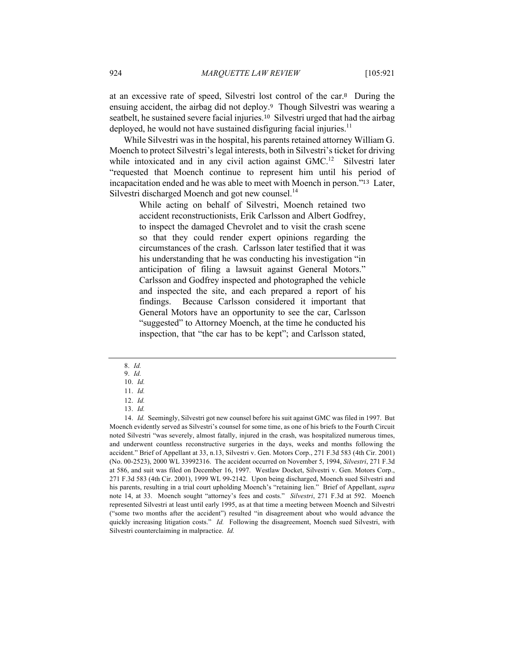at an excessive rate of speed, Silvestri lost control of the car.<sup>8</sup> During the ensuing accident, the airbag did not deploy.<sup>9</sup> Though Silvestri was wearing a seatbelt, he sustained severe facial injuries.<sup>10</sup> Silvestri urged that had the airbag deployed, he would not have sustained disfiguring facial injuries.<sup>11</sup>

While Silvestri was in the hospital, his parents retained attorney William G. Moench to protect Silvestri's legal interests, both in Silvestri's ticket for driving while intoxicated and in any civil action against  $GMC$ <sup>12</sup> Silvestri later "requested that Moench continue to represent him until his period of incapacitation ended and he was able to meet with Moench in person."<sup>13</sup> Later, Silvestri discharged Moench and got new counsel.<sup>14</sup>

> While acting on behalf of Silvestri, Moench retained two accident reconstructionists, Erik Carlsson and Albert Godfrey, to inspect the damaged Chevrolet and to visit the crash scene so that they could render expert opinions regarding the circumstances of the crash. Carlsson later testified that it was his understanding that he was conducting his investigation "in anticipation of filing a lawsuit against General Motors." Carlsson and Godfrey inspected and photographed the vehicle and inspected the site, and each prepared a report of his findings. Because Carlsson considered it important that General Motors have an opportunity to see the car, Carlsson "suggested" to Attorney Moench, at the time he conducted his inspection, that "the car has to be kept"; and Carlsson stated,

<sup>8.</sup> *Id.*

<sup>9.</sup> *Id.* 10. *Id.*

<sup>11.</sup> *Id.*

<sup>12.</sup> *Id.* 13. *Id.*

<sup>14.</sup> *Id.* Seemingly, Silvestri got new counsel before his suit against GMC was filed in 1997. But Moench evidently served as Silvestri's counsel for some time, as one of his briefs to the Fourth Circuit noted Silvestri "was severely, almost fatally, injured in the crash, was hospitalized numerous times, and underwent countless reconstructive surgeries in the days, weeks and months following the accident." Brief of Appellant at 33, n.13, Silvestri v. Gen. Motors Corp., 271 F.3d 583 (4th Cir. 2001) (No. 00-2523), 2000 WL 33992316. The accident occurred on November 5, 1994, *Silvestri*, 271 F.3d at 586, and suit was filed on December 16, 1997. Westlaw Docket, Silvestri v. Gen. Motors Corp., 271 F.3d 583 (4th Cir. 2001), 1999 WL 99-2142. Upon being discharged, Moench sued Silvestri and his parents, resulting in a trial court upholding Moench's "retaining lien." Brief of Appellant, *supra* note 14, at 33. Moench sought "attorney's fees and costs." *Silvestri*, 271 F.3d at 592. Moench represented Silvestri at least until early 1995, as at that time a meeting between Moench and Silvestri ("some two months after the accident") resulted "in disagreement about who would advance the quickly increasing litigation costs." *Id.* Following the disagreement, Moench sued Silvestri, with Silvestri counterclaiming in malpractice. *Id.*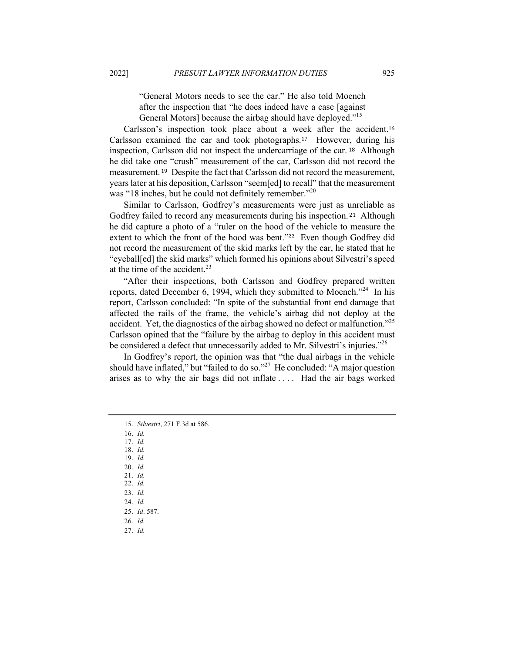"General Motors needs to see the car." He also told Moench after the inspection that "he does indeed have a case [against General Motors] because the airbag should have deployed."<sup>15</sup>

Carlsson's inspection took place about a week after the accident.<sup>16</sup> Carlsson examined the car and took photographs.17 However, during his inspection, Carlsson did not inspect the undercarriage of the car. <sup>18</sup> Although he did take one "crush" measurement of the car, Carlsson did not record the measurement. <sup>19</sup> Despite the fact that Carlsson did not record the measurement, years later at his deposition, Carlsson "seem[ed] to recall" that the measurement was "18 inches, but he could not definitely remember."<sup>20</sup>

Similar to Carlsson, Godfrey's measurements were just as unreliable as Godfrey failed to record any measurements during his inspection. <sup>21</sup> Although he did capture a photo of a "ruler on the hood of the vehicle to measure the extent to which the front of the hood was bent."<sup>22</sup> Even though Godfrey did not record the measurement of the skid marks left by the car, he stated that he "eyeball[ed] the skid marks" which formed his opinions about Silvestri's speed at the time of the accident. $^{23}$ 

"After their inspections, both Carlsson and Godfrey prepared written reports, dated December 6, 1994, which they submitted to Moench.<sup> $24$ </sup> In his report, Carlsson concluded: "In spite of the substantial front end damage that affected the rails of the frame, the vehicle's airbag did not deploy at the accident. Yet, the diagnostics of the airbag showed no defect or malfunction."<sup>25</sup> Carlsson opined that the "failure by the airbag to deploy in this accident must be considered a defect that unnecessarily added to Mr. Silvestri's injuries."<sup>26</sup>

In Godfrey's report, the opinion was that "the dual airbags in the vehicle should have inflated," but "failed to do so."<sup>27</sup> He concluded: "A major question arises as to why the air bags did not inflate . . . . Had the air bags worked

16. *Id.*

17. *Id.* 18. *Id.*

- 19. *Id.*
- 20. *Id.*
- 21. *Id.*

22. *Id.*

- 23. *Id.* 24. *Id.*
- 25. *Id*. 587.
- 26. *Id.*

27. *Id.*

<sup>15.</sup> *Silvestri*, 271 F.3d at 586.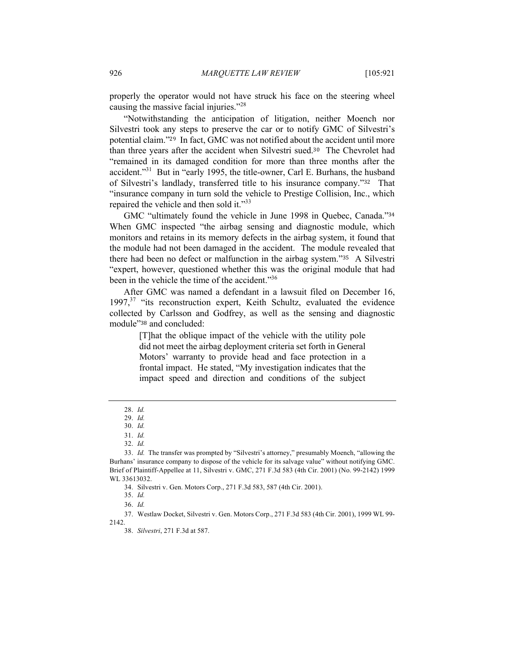properly the operator would not have struck his face on the steering wheel causing the massive facial injuries."<sup>28</sup>

"Notwithstanding the anticipation of litigation, neither Moench nor Silvestri took any steps to preserve the car or to notify GMC of Silvestri's potential claim."<sup>29</sup> In fact, GMC was not notified about the accident until more than three years after the accident when Silvestri sued.<sup>30</sup> The Chevrolet had "remained in its damaged condition for more than three months after the accident."<sup>31</sup> But in "early 1995, the title-owner, Carl E. Burhans, the husband of Silvestri's landlady, transferred title to his insurance company."<sup>32</sup> That "insurance company in turn sold the vehicle to Prestige Collision, Inc., which repaired the vehicle and then sold it."33

GMC "ultimately found the vehicle in June 1998 in Quebec, Canada."<sup>34</sup> When GMC inspected "the airbag sensing and diagnostic module, which monitors and retains in its memory defects in the airbag system, it found that the module had not been damaged in the accident. The module revealed that there had been no defect or malfunction in the airbag system."<sup>35</sup> A Silvestri "expert, however, questioned whether this was the original module that had been in the vehicle the time of the accident."<sup>36</sup>

After GMC was named a defendant in a lawsuit filed on December 16, 1997,<sup>37</sup> "its reconstruction expert, Keith Schultz, evaluated the evidence collected by Carlsson and Godfrey, as well as the sensing and diagnostic module"<sup>38</sup> and concluded:

> [T]hat the oblique impact of the vehicle with the utility pole did not meet the airbag deployment criteria set forth in General Motors' warranty to provide head and face protection in a frontal impact. He stated, "My investigation indicates that the impact speed and direction and conditions of the subject

<sup>28.</sup> *Id.*

<sup>29.</sup> *Id.*

<sup>30.</sup> *Id.*

<sup>31.</sup> *Id.*

<sup>32.</sup> *Id.*

<sup>33.</sup> *Id.* The transfer was prompted by "Silvestri's attorney," presumably Moench, "allowing the Burhans' insurance company to dispose of the vehicle for its salvage value" without notifying GMC. Brief of Plaintiff-Appellee at 11, Silvestri v. GMC, 271 F.3d 583 (4th Cir. 2001) (No. 99-2142) 1999 WL 33613032.

<sup>34.</sup> Silvestri v. Gen. Motors Corp., 271 F.3d 583, 587 (4th Cir. 2001).

<sup>35.</sup> *Id.*

<sup>36.</sup> *Id.*

<sup>37.</sup> Westlaw Docket, Silvestri v. Gen. Motors Corp., 271 F.3d 583 (4th Cir. 2001), 1999 WL 99- 2142.

<sup>38.</sup> *Silvestri*, 271 F.3d at 587.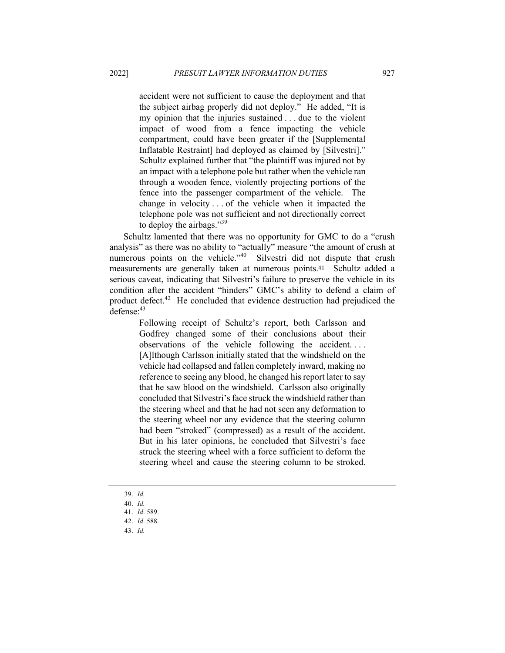accident were not sufficient to cause the deployment and that the subject airbag properly did not deploy." He added, "It is my opinion that the injuries sustained . . . due to the violent impact of wood from a fence impacting the vehicle compartment, could have been greater if the [Supplemental Inflatable Restraint] had deployed as claimed by [Silvestri]." Schultz explained further that "the plaintiff was injured not by an impact with a telephone pole but rather when the vehicle ran through a wooden fence, violently projecting portions of the fence into the passenger compartment of the vehicle. The change in velocity . . . of the vehicle when it impacted the telephone pole was not sufficient and not directionally correct to deploy the airbags."<sup>39</sup>

Schultz lamented that there was no opportunity for GMC to do a "crush analysis" as there was no ability to "actually" measure "the amount of crush at numerous points on the vehicle."<sup>40</sup> Silvestri did not dispute that crush measurements are generally taken at numerous points.41 Schultz added a serious caveat, indicating that Silvestri's failure to preserve the vehicle in its condition after the accident "hinders" GMC's ability to defend a claim of product defect.<sup>42</sup> He concluded that evidence destruction had prejudiced the defense: 43

Following receipt of Schultz's report, both Carlsson and Godfrey changed some of their conclusions about their observations of the vehicle following the accident. . . . [A]lthough Carlsson initially stated that the windshield on the vehicle had collapsed and fallen completely inward, making no reference to seeing any blood, he changed his report later to say that he saw blood on the windshield. Carlsson also originally concluded that Silvestri's face struck the windshield rather than the steering wheel and that he had not seen any deformation to the steering wheel nor any evidence that the steering column had been "stroked" (compressed) as a result of the accident. But in his later opinions, he concluded that Silvestri's face struck the steering wheel with a force sufficient to deform the steering wheel and cause the steering column to be stroked.

- 39. *Id.*
- 40. *Id.*
- 41. *Id*. 589.
- 42. *Id*. 588.
- 43. *Id.*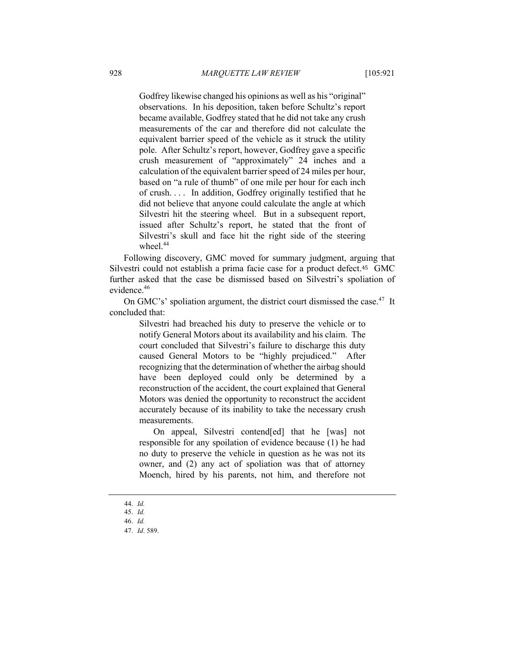Godfrey likewise changed his opinions as well as his "original" observations. In his deposition, taken before Schultz's report became available, Godfrey stated that he did not take any crush measurements of the car and therefore did not calculate the equivalent barrier speed of the vehicle as it struck the utility pole. After Schultz's report, however, Godfrey gave a specific crush measurement of "approximately" 24 inches and a calculation of the equivalent barrier speed of 24 miles per hour, based on "a rule of thumb" of one mile per hour for each inch of crush. . . . In addition, Godfrey originally testified that he did not believe that anyone could calculate the angle at which Silvestri hit the steering wheel. But in a subsequent report, issued after Schultz's report, he stated that the front of Silvestri's skull and face hit the right side of the steering wheel.<sup>44</sup>

Following discovery, GMC moved for summary judgment, arguing that Silvestri could not establish a prima facie case for a product defect.<sup>45</sup> GMC further asked that the case be dismissed based on Silvestri's spoliation of evidence.46

On GMC's' spoliation argument, the district court dismissed the case.<sup>47</sup> It concluded that:

> Silvestri had breached his duty to preserve the vehicle or to notify General Motors about its availability and his claim. The court concluded that Silvestri's failure to discharge this duty caused General Motors to be "highly prejudiced." After recognizing that the determination of whether the airbag should have been deployed could only be determined by a reconstruction of the accident, the court explained that General Motors was denied the opportunity to reconstruct the accident accurately because of its inability to take the necessary crush measurements.

> On appeal, Silvestri contend[ed] that he [was] not responsible for any spoilation of evidence because (1) he had no duty to preserve the vehicle in question as he was not its owner, and (2) any act of spoliation was that of attorney Moench, hired by his parents, not him, and therefore not

<sup>44.</sup> *Id.* 45. *Id.*

<sup>46.</sup> *Id.*

<sup>47.</sup> *Id*. 589.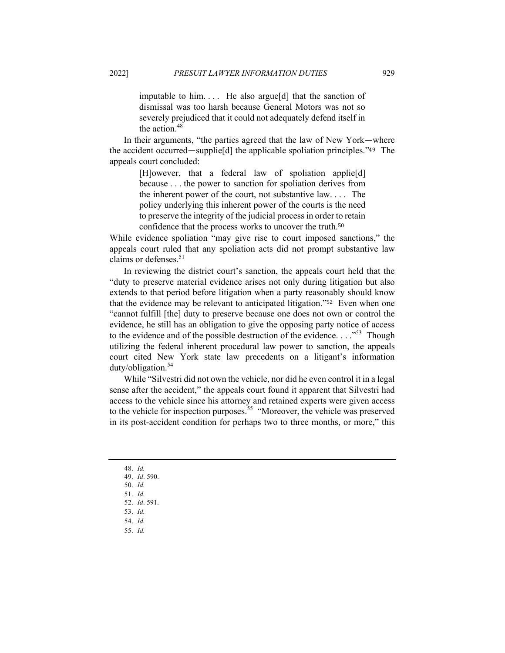imputable to him. . . . He also argue[d] that the sanction of dismissal was too harsh because General Motors was not so severely prejudiced that it could not adequately defend itself in the action. 48

In their arguments, "the parties agreed that the law of New York—where the accident occurred—supplie[d] the applicable spoliation principles."<sup>49</sup> The appeals court concluded:

> [H]owever, that a federal law of spoliation applie[d] because . . . the power to sanction for spoliation derives from the inherent power of the court, not substantive law. . . . The policy underlying this inherent power of the courts is the need to preserve the integrity of the judicial process in order to retain confidence that the process works to uncover the truth.<sup>50</sup>

While evidence spoliation "may give rise to court imposed sanctions," the appeals court ruled that any spoliation acts did not prompt substantive law claims or defenses.<sup>51</sup>

In reviewing the district court's sanction, the appeals court held that the "duty to preserve material evidence arises not only during litigation but also extends to that period before litigation when a party reasonably should know that the evidence may be relevant to anticipated litigation."<sup>52</sup> Even when one "cannot fulfill [the] duty to preserve because one does not own or control the evidence, he still has an obligation to give the opposing party notice of access to the evidence and of the possible destruction of the evidence.  $\dots$ <sup>53</sup> Though utilizing the federal inherent procedural law power to sanction, the appeals court cited New York state law precedents on a litigant's information duty/obligation.<sup>54</sup>

While "Silvestri did not own the vehicle, nor did he even control it in a legal sense after the accident," the appeals court found it apparent that Silvestri had access to the vehicle since his attorney and retained experts were given access to the vehicle for inspection purposes.<sup>55</sup> "Moreover, the vehicle was preserved in its post-accident condition for perhaps two to three months, or more," this

- 48. *Id.*
- 49. *Id*. 590.
- 50. *Id.*
- 51. *Id.* 52. *Id*. 591.
- 53. *Id.*
- 54. *Id.*
- 55. *Id.*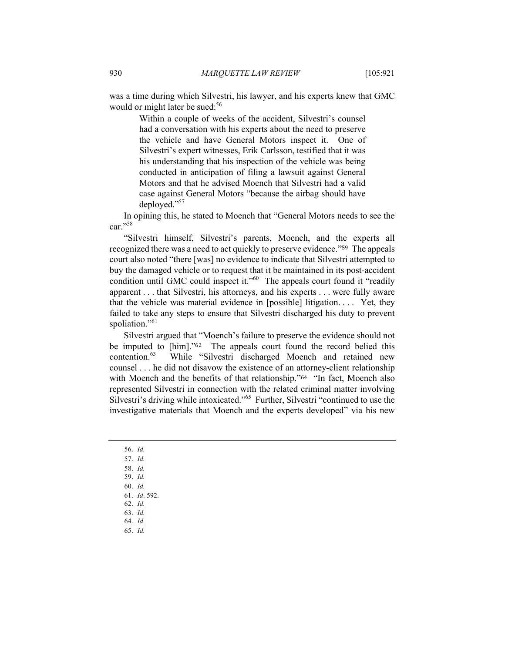was a time during which Silvestri, his lawyer, and his experts knew that GMC would or might later be sued:<sup>56</sup>

> Within a couple of weeks of the accident, Silvestri's counsel had a conversation with his experts about the need to preserve the vehicle and have General Motors inspect it. One of Silvestri's expert witnesses, Erik Carlsson, testified that it was his understanding that his inspection of the vehicle was being conducted in anticipation of filing a lawsuit against General Motors and that he advised Moench that Silvestri had a valid case against General Motors "because the airbag should have deployed."<sup>57</sup>

In opining this, he stated to Moench that "General Motors needs to see the car."<sup>58</sup>

"Silvestri himself, Silvestri's parents, Moench, and the experts all recognized there was a need to act quickly to preserve evidence."<sup>59</sup> The appeals court also noted "there [was] no evidence to indicate that Silvestri attempted to buy the damaged vehicle or to request that it be maintained in its post-accident condition until GMC could inspect it."<sup>60</sup> The appeals court found it "readily apparent . . . that Silvestri, his attorneys, and his experts . . . were fully aware that the vehicle was material evidence in [possible] litigation. . . . Yet, they failed to take any steps to ensure that Silvestri discharged his duty to prevent spoliation."<sup>61</sup>

Silvestri argued that "Moench's failure to preserve the evidence should not be imputed to [him]."<sup>62</sup> The appeals court found the record belied this contention.<sup>63</sup> While "Silvestri discharged Moench and retained new counsel . . . he did not disavow the existence of an attorney-client relationship with Moench and the benefits of that relationship."<sup>64</sup> "In fact, Moench also represented Silvestri in connection with the related criminal matter involving Silvestri's driving while intoxicated."65 Further, Silvestri "continued to use the investigative materials that Moench and the experts developed" via his new

- 56. *Id.*
- 57. *Id.*
- 58. *Id.*
- 59. *Id.* 60. *Id.*
- 61. *Id*. 592.
- 62. *Id.*
- 63. *Id.*
- 64. *Id.*
- 65. *Id.*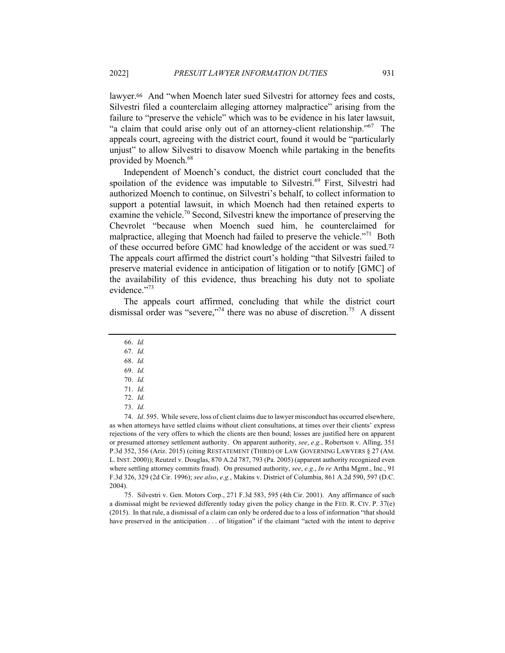lawyer.<sup>66</sup> And "when Moench later sued Silvestri for attorney fees and costs, Silvestri filed a counterclaim alleging attorney malpractice" arising from the failure to "preserve the vehicle" which was to be evidence in his later lawsuit, "a claim that could arise only out of an attorney-client relationship."<sup>67</sup> The appeals court, agreeing with the district court, found it would be "particularly unjust" to allow Silvestri to disavow Moench while partaking in the benefits provided by Moench.<sup>68</sup>

Independent of Moench's conduct, the district court concluded that the spoilation of the evidence was imputable to Silvestri.<sup>69</sup> First, Silvestri had authorized Moench to continue, on Silvestri's behalf, to collect information to support a potential lawsuit, in which Moench had then retained experts to examine the vehicle.<sup>70</sup> Second, Silvestri knew the importance of preserving the Chevrolet "because when Moench sued him, he counterclaimed for malpractice, alleging that Moench had failed to preserve the vehicle."<sup>71</sup> Both of these occurred before GMC had knowledge of the accident or was sued.<sup>72</sup> The appeals court affirmed the district court's holding "that Silvestri failed to preserve material evidence in anticipation of litigation or to notify [GMC] of the availability of this evidence, thus breaching his duty not to spoliate evidence."<sup>73</sup>

The appeals court affirmed, concluding that while the district court dismissal order was "severe,"<sup>74</sup> there was no abuse of discretion.<sup>75</sup> A dissent

- 66. *Id.*
- 67. *Id.*
- 68. *Id.* 69. *Id.*
- 70. *Id.*
- 71. *Id.*
- 
- 72. *Id.*
- 73. *Id.*

74. *Id*. 595. While severe, loss of client claims due to lawyer misconduct has occurred elsewhere, as when attorneys have settled claims without client consultations, at times over their clients' express rejections of the very offers to which the clients are then bound; losses are justified here on apparent or presumed attorney settlement authority. On apparent authority, *see*, *e.g.*, Robertson v. Alling, 351 P.3d 352, 356 (Ariz. 2015) (citing RESTATEMENT (THIRD) OF LAW GOVERNING LAWYERS § 27 (AM. L. INST. 2000)); Reutzel v. Douglas, 870 A.2d 787, 793 (Pa. 2005) (apparent authority recognized even where settling attorney commits fraud). On presumed authority, *see*, *e.g.*, *In re* Artha Mgmt., Inc., 91 F.3d 326, 329 (2d Cir. 1996); *see also*, *e.g.*, Makins v. District of Columbia, 861 A.2d 590, 597 (D.C. 2004).

75. Silvestri v. Gen. Motors Corp., 271 F.3d 583, 595 (4th Cir. 2001). Any affirmance of such a dismissal might be reviewed differently today given the policy change in the FED. R. CIV. P. 37(e) (2015). In that rule, a dismissal of a claim can only be ordered due to a loss of information "that should have preserved in the anticipation . . . of litigation" if the claimant "acted with the intent to deprive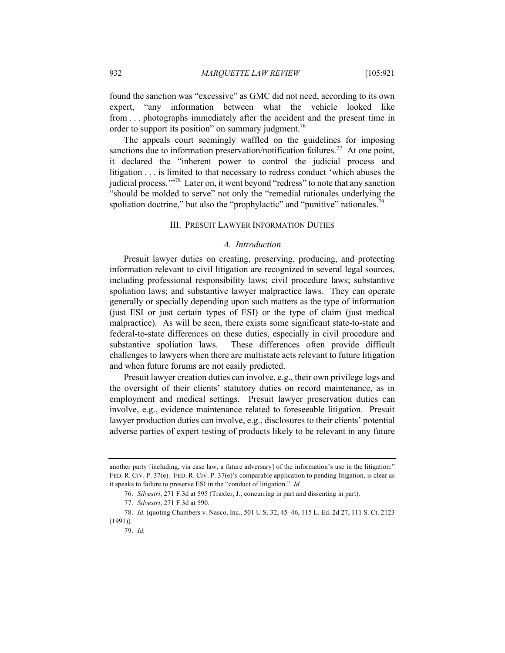found the sanction was "excessive" as GMC did not need, according to its own expert, "any information between what the vehicle looked like from . . . photographs immediately after the accident and the present time in order to support its position" on summary judgment.<sup>76</sup>

The appeals court seemingly waffled on the guidelines for imposing sanctions due to information preservation/notification failures.<sup>77</sup> At one point, it declared the "inherent power to control the judicial process and litigation . . . is limited to that necessary to redress conduct 'which abuses the judicial process."<sup>78</sup> Later on, it went beyond "redress" to note that any sanction "should be molded to serve" not only the "remedial rationales underlying the spoliation doctrine," but also the "prophylactic" and "punitive" rationales.<sup>79</sup>

### III. PRESUIT LAWYER INFORMATION DUTIES

#### *A. Introduction*

Presuit lawyer duties on creating, preserving, producing, and protecting information relevant to civil litigation are recognized in several legal sources, including professional responsibility laws; civil procedure laws; substantive spoliation laws; and substantive lawyer malpractice laws. They can operate generally or specially depending upon such matters as the type of information (just ESI or just certain types of ESI) or the type of claim (just medical malpractice). As will be seen, there exists some significant state-to-state and federal-to-state differences on these duties, especially in civil procedure and substantive spoliation laws. These differences often provide difficult challenges to lawyers when there are multistate acts relevant to future litigation and when future forums are not easily predicted.

Presuit lawyer creation duties can involve, e.g., their own privilege logs and the oversight of their clients' statutory duties on record maintenance, as in employment and medical settings. Presuit lawyer preservation duties can involve, e.g., evidence maintenance related to foreseeable litigation. Presuit lawyer production duties can involve, e.g., disclosures to their clients' potential adverse parties of expert testing of products likely to be relevant in any future

another party [including, via case law, a future adversary] of the information's use in the litigation." FED. R. CIV. P. 37(e). FED. R. CIV. P. 37(e)'s comparable application to pending litigation, is clear as it speaks to failure to preserve ESI in the "conduct of litigation." *Id.*

<sup>76.</sup> *Silvestri*, 271 F.3d at 595 (Traxler, J., concurring in part and dissenting in part).

<sup>77.</sup> *Silvestri*, 271 F.3d at 590.

<sup>78.</sup> *Id.* (quoting Chambers v. Nasco, Inc., 501 U.S. 32, 45–46, 115 L. Ed. 2d 27, 111 S. Ct. 2123 (1991)).

<sup>79.</sup> *Id.*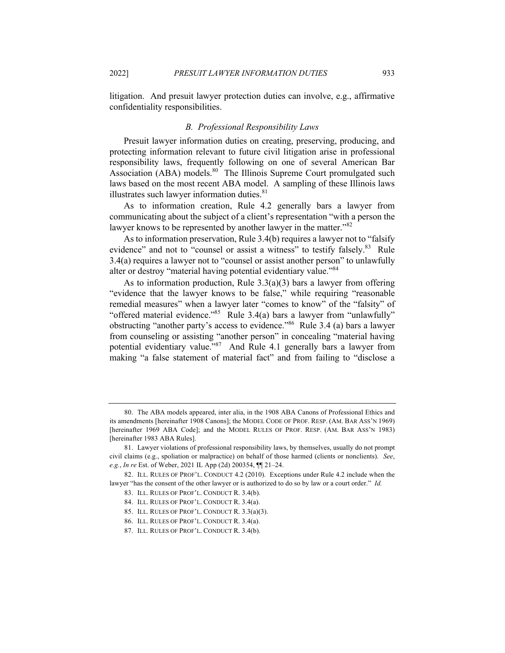litigation. And presuit lawyer protection duties can involve, e.g., affirmative confidentiality responsibilities.

#### *B. Professional Responsibility Laws*

Presuit lawyer information duties on creating, preserving, producing, and protecting information relevant to future civil litigation arise in professional responsibility laws, frequently following on one of several American Bar Association (ABA) models.<sup>80</sup> The Illinois Supreme Court promulgated such laws based on the most recent ABA model. A sampling of these Illinois laws illustrates such lawyer information duties.<sup>81</sup>

As to information creation, Rule 4.2 generally bars a lawyer from communicating about the subject of a client's representation "with a person the lawyer knows to be represented by another lawyer in the matter."<sup>82</sup>

As to information preservation, Rule 3.4(b) requires a lawyer not to "falsify evidence" and not to "counsel or assist a witness" to testify falsely.<sup>83</sup> Rule 3.4(a) requires a lawyer not to "counsel or assist another person" to unlawfully alter or destroy "material having potential evidentiary value."<sup>84</sup>

As to information production, Rule  $3.3(a)(3)$  bars a lawyer from offering "evidence that the lawyer knows to be false," while requiring "reasonable remedial measures" when a lawyer later "comes to know" of the "falsity" of "offered material evidence."<sup>85</sup> Rule 3.4(a) bars a lawyer from "unlawfully" obstructing "another party's access to evidence."86 Rule 3.4 (a) bars a lawyer from counseling or assisting "another person" in concealing "material having potential evidentiary value."<sup>87</sup> And Rule 4.1 generally bars a lawyer from making "a false statement of material fact" and from failing to "disclose a

<sup>80.</sup> The ABA models appeared, inter alia, in the 1908 ABA Canons of Professional Ethics and its amendments [hereinafter 1908 Canons]; the MODEL CODE OF PROF. RESP. (AM. BAR ASS'N 1969) [hereinafter 1969 ABA Code]; and the MODEL RULES OF PROF. RESP. (AM. BAR ASS'N 1983) [hereinafter 1983 ABA Rules].

<sup>81.</sup> Lawyer violations of professional responsibility laws, by themselves, usually do not prompt civil claims (e.g., spoliation or malpractice) on behalf of those harmed (clients or nonclients). *See*, *e.g.*, *In re* Est. of Weber, 2021 IL App (2d) 200354, ¶¶ 21–24.

<sup>82.</sup> ILL. RULES OF PROF'L. CONDUCT 4.2 (2010). Exceptions under Rule 4.2 include when the lawyer "has the consent of the other lawyer or is authorized to do so by law or a court order." *Id.*

<sup>83.</sup> ILL. RULES OF PROF'L. CONDUCT R. 3.4(b).

<sup>84.</sup> ILL. RULES OF PROF'L. CONDUCT R. 3.4(a).

<sup>85.</sup> ILL. RULES OF PROF'L. CONDUCT R. 3.3(a)(3).

<sup>86.</sup> ILL. RULES OF PROF'L. CONDUCT R. 3.4(a).

<sup>87.</sup> ILL. RULES OF PROF'L. CONDUCT R. 3.4(b).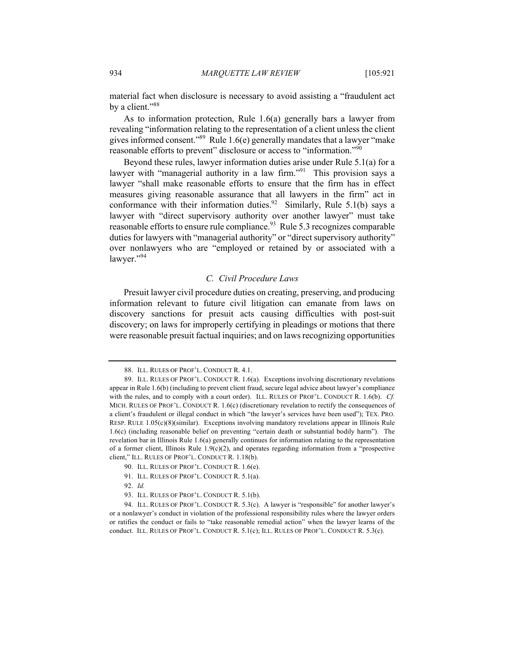material fact when disclosure is necessary to avoid assisting a "fraudulent act by a client."<sup>88</sup>

As to information protection, Rule 1.6(a) generally bars a lawyer from revealing "information relating to the representation of a client unless the client gives informed consent."<sup>89</sup> Rule 1.6(e) generally mandates that a lawyer "make reasonable efforts to prevent" disclosure or access to "information."<sup>90</sup>

Beyond these rules, lawyer information duties arise under Rule 5.1(a) for a lawyer with "managerial authority in a law firm."<sup>91</sup> This provision says a lawyer "shall make reasonable efforts to ensure that the firm has in effect measures giving reasonable assurance that all lawyers in the firm" act in conformance with their information duties.<sup>92</sup> Similarly, Rule 5.1(b) says a lawyer with "direct supervisory authority over another lawyer" must take reasonable efforts to ensure rule compliance.<sup>93</sup> Rule 5.3 recognizes comparable duties for lawyers with "managerial authority" or "direct supervisory authority" over nonlawyers who are "employed or retained by or associated with a lawyer."<sup>94</sup>

## *C. Civil Procedure Laws*

Presuit lawyer civil procedure duties on creating, preserving, and producing information relevant to future civil litigation can emanate from laws on discovery sanctions for presuit acts causing difficulties with post-suit discovery; on laws for improperly certifying in pleadings or motions that there were reasonable presuit factual inquiries; and on laws recognizing opportunities

<sup>88.</sup> ILL. RULES OF PROF'L. CONDUCT R. 4.1.

<sup>89.</sup> ILL. RULES OF PROF'L. CONDUCT R. 1.6(a). Exceptions involving discretionary revelations appear in Rule 1.6(b) (including to prevent client fraud, secure legal advice about lawyer's compliance with the rules, and to comply with a court order). ILL. RULES OF PROF'L. CONDUCT R. 1.6(b). *Cf.* MICH. RULES OF PROF'L. CONDUCT R. 1.6(c) (discretionary revelation to rectify the consequences of a client's fraudulent or illegal conduct in which "the lawyer's services have been used"); TEX. PRO. RESP. RULE 1.05(c)(8)(similar). Exceptions involving mandatory revelations appear in Illinois Rule 1.6(c) (including reasonable belief on preventing "certain death or substantial bodily harm"). The revelation bar in Illinois Rule 1.6(a) generally continues for information relating to the representation of a former client, Illinois Rule  $1.9(c)(2)$ , and operates regarding information from a "prospective client," ILL. RULES OF PROF'L. CONDUCT R. 1.18(b).

<sup>90.</sup> ILL. RULES OF PROF'L. CONDUCT R. 1.6(e).

<sup>91.</sup> ILL. RULES OF PROF'L. CONDUCT R. 5.1(a).

<sup>92.</sup> *Id.*

<sup>93.</sup> ILL. RULES OF PROF'L. CONDUCT R. 5.1(b).

<sup>94.</sup> ILL. RULES OF PROF'L. CONDUCT R. 5.3(c). A lawyer is "responsible" for another lawyer's or a nonlawyer's conduct in violation of the professional responsibility rules where the lawyer orders or ratifies the conduct or fails to "take reasonable remedial action" when the lawyer learns of the conduct. ILL. RULES OF PROF'L. CONDUCT R. 5.1(c); ILL. RULES OF PROF'L. CONDUCT R. 5.3(c).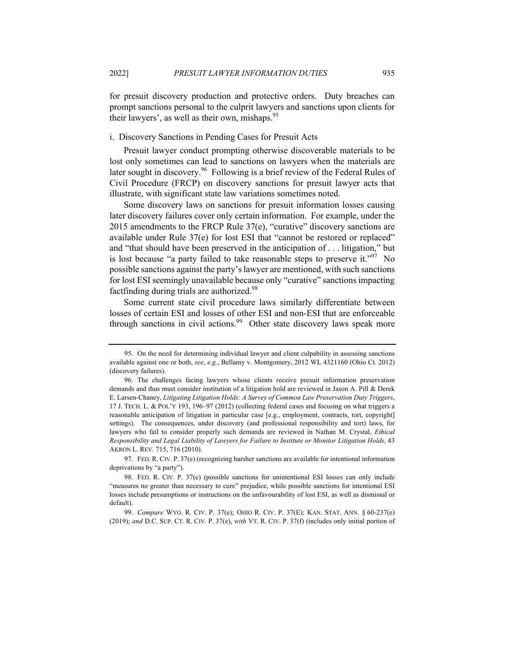for presuit discovery production and protective orders. Duty breaches can prompt sanctions personal to the culprit lawyers and sanctions upon clients for their lawyers', as well as their own, mishaps.<sup>95</sup>

#### i. Discovery Sanctions in Pending Cases for Presuit Acts

Presuit lawyer conduct prompting otherwise discoverable materials to be lost only sometimes can lead to sanctions on lawyers when the materials are later sought in discovery.<sup>96</sup> Following is a brief review of the Federal Rules of Civil Procedure (FRCP) on discovery sanctions for presuit lawyer acts that illustrate, with significant state law variations sometimes noted.

Some discovery laws on sanctions for presuit information losses causing later discovery failures cover only certain information. For example, under the 2015 amendments to the FRCP Rule 37(e), "curative" discovery sanctions are available under Rule 37(e) for lost ESI that "cannot be restored or replaced" and "that should have been preserved in the anticipation of . . . litigation," but is lost because "a party failed to take reasonable steps to preserve it."<sup>97</sup> No possible sanctions against the party's lawyer are mentioned, with such sanctions for lost ESI seemingly unavailable because only "curative" sanctions impacting factfinding during trials are authorized.<sup>98</sup>

Some current state civil procedure laws similarly differentiate between losses of certain ESI and losses of other ESI and non-ESI that are enforceable through sanctions in civil actions.<sup>99</sup> Other state discovery laws speak more

<sup>95.</sup> On the need for determining individual lawyer and client culpability in assessing sanctions available against one or both, *see*, *e.g.*, Bellamy v. Montgomery, 2012 WL 4321160 (Ohio Ct. 2012) (discovery failures).

<sup>96.</sup> The challenges facing lawyers whose clients receive presuit information preservation demands and thus must consider institution of a litigation hold are reviewed in Jason A. Pill & Derek E. Larsen-Chaney, *Litigating Litigation Holds: A Survey of Common Law Preservation Duty Triggers*, 17 J. TECH. L. & POL'Y 193, 196–97 (2012) (collecting federal cases and focusing on what triggers a reasonable anticipation of litigation in particular case [e.g., employment, contracts, tort, copyright] settings). The consequences, under discovery (and professional responsibility and tort) laws, for lawyers who fail to consider properly such demands are reviewed in Nathan M. Crystal, *Ethical Responsibility and Legal Liability of Lawyers for Failure to Institute or Monitor Litigation Holds*, 43 AKRON L. REV. 715, 716 (2010).

<sup>97.</sup> FED. R. CIV. P. 37(e) (recognizing harsher sanctions are available for intentional information deprivations by "a party").

<sup>98.</sup> FED. R. CIV. P. 37(e) (possible sanctions for unintentional ESI losses can only include "measures no greater than necessary to cure" prejudice, while possible sanctions for intentional ESI losses include presumptions or instructions on the unfavourability of lost ESI, as well as dismissal or default).

<sup>99.</sup> *Compare* WYO. R. CIV. P. 37(e); OHIO R. CIV. P. 37(E); KAN. STAT. ANN. § 60-237(e) (2019); *and* D.C. SUP. CT. R. CIV. P. 37(e), *with* VT. R. CIV. P. 37(f) (includes only initial portion of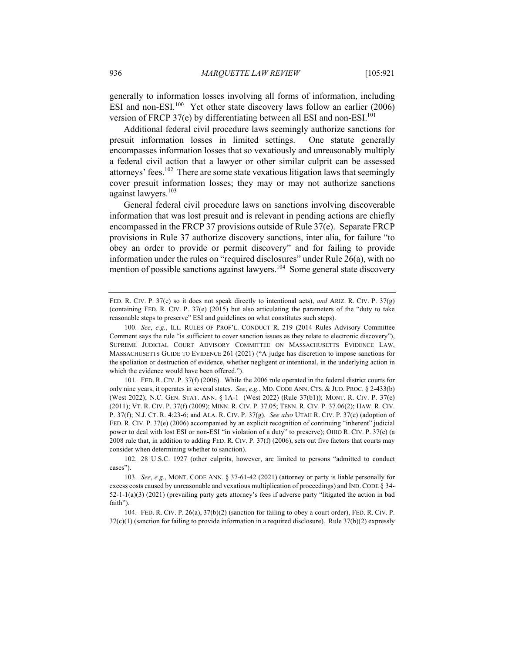generally to information losses involving all forms of information, including ESI and non-ESI. $100$  Yet other state discovery laws follow an earlier (2006) version of FRCP 37(e) by differentiating between all ESI and non-ESI.<sup>101</sup>

Additional federal civil procedure laws seemingly authorize sanctions for presuit information losses in limited settings. One statute generally encompasses information losses that so vexatiously and unreasonably multiply a federal civil action that a lawyer or other similar culprit can be assessed attorneys' fees.<sup>102</sup> There are some state vexatious litigation laws that seemingly cover presuit information losses; they may or may not authorize sanctions against lawyers.<sup>103</sup>

General federal civil procedure laws on sanctions involving discoverable information that was lost presuit and is relevant in pending actions are chiefly encompassed in the FRCP 37 provisions outside of Rule 37(e). Separate FRCP provisions in Rule 37 authorize discovery sanctions, inter alia, for failure "to obey an order to provide or permit discovery" and for failing to provide information under the rules on "required disclosures" under Rule 26(a), with no mention of possible sanctions against lawyers.<sup>104</sup> Some general state discovery

101. FED. R. CIV. P. 37(f) (2006). While the 2006 rule operated in the federal district courts for only nine years, it operates in several states. *See*, *e.g.*, MD. CODE ANN. CTS. & JUD. PROC. § 2-433(b) (West 2022); N.C. GEN. STAT. ANN. § 1A-1 (West 2022) (Rule 37(b1)); MONT. R. CIV. P. 37(e) (2011); VT. R. CIV. P. 37(f) (2009); MINN. R. CIV. P. 37.05; TENN. R. CIV. P. 37.06(2); HAW. R. CIV. P. 37(f); N.J. CT. R. 4:23-6; and ALA. R. CIV. P. 37(g). *See also* UTAH R. CIV. P. 37(e) (adoption of FED. R. CIV. P. 37(e) (2006) accompanied by an explicit recognition of continuing "inherent" judicial power to deal with lost ESI or non-ESI "in violation of a duty" to preserve); OHIO R. CIV. P. 37(e) (a 2008 rule that, in addition to adding FED. R. CIV. P. 37(f) (2006), sets out five factors that courts may consider when determining whether to sanction).

102. 28 U.S.C. 1927 (other culprits, however, are limited to persons "admitted to conduct cases").

104. FED. R. CIV. P. 26(a), 37(b)(2) (sanction for failing to obey a court order), FED. R. CIV. P.  $37(c)(1)$  (sanction for failing to provide information in a required disclosure). Rule  $37(b)(2)$  expressly

FED. R. CIV. P. 37(e) so it does not speak directly to intentional acts), *and* ARIZ. R. CIV. P. 37(g) (containing FED. R. CIV. P. 37(e) (2015) but also articulating the parameters of the "duty to take reasonable steps to preserve" ESI and guidelines on what constitutes such steps).

<sup>100.</sup> *See*, *e.g.*, ILL. RULES OF PROF'L. CONDUCT R. 219 (2014 Rules Advisory Committee Comment says the rule "is sufficient to cover sanction issues as they relate to electronic discovery"), SUPREME JUDICIAL COURT ADVISORY COMMITTEE ON MASSACHUSETTS EVIDENCE LAW, MASSACHUSETTS GUIDE TO EVIDENCE 261 (2021) ("A judge has discretion to impose sanctions for the spoliation or destruction of evidence, whether negligent or intentional, in the underlying action in which the evidence would have been offered.").

<sup>103.</sup> *See*, *e.g.*, MONT. CODE ANN. § 37-61-42 (2021) (attorney or party is liable personally for excess costs caused by unreasonable and vexatious multiplication of proceedings) and IND. CODE § 34- 52-1-1(a)(3) (2021) (prevailing party gets attorney's fees if adverse party "litigated the action in bad faith").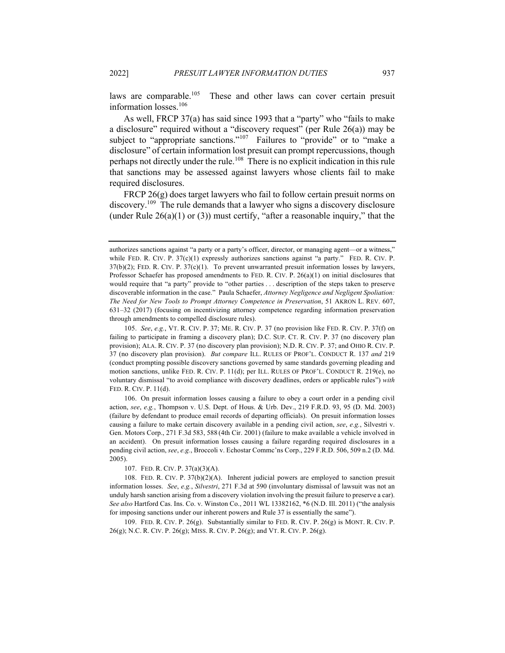laws are comparable.<sup>105</sup> These and other laws can cover certain presuit information losses.<sup>106</sup>

As well, FRCP 37(a) has said since 1993 that a "party" who "fails to make a disclosure" required without a "discovery request" (per Rule 26(a)) may be subject to "appropriate sanctions."<sup>107</sup> Failures to "provide" or to "make a disclosure" of certain information lost presuit can prompt repercussions, though perhaps not directly under the rule.<sup>108</sup> There is no explicit indication in this rule that sanctions may be assessed against lawyers whose clients fail to make required disclosures.

FRCP 26(g) does target lawyers who fail to follow certain presuit norms on discovery.<sup>109</sup> The rule demands that a lawyer who signs a discovery disclosure (under Rule  $26(a)(1)$  or (3)) must certify, "after a reasonable inquiry," that the

106. On presuit information losses causing a failure to obey a court order in a pending civil action, *see*, *e.g.*, Thompson v. U.S. Dept. of Hous. & Urb. Dev., 219 F.R.D. 93, 95 (D. Md. 2003) (failure by defendant to produce email records of departing officials). On presuit information losses causing a failure to make certain discovery available in a pending civil action, *see*, *e.g.*, Silvestri v. Gen. Motors Corp., 271 F.3d 583, 588 (4th Cir. 2001) (failure to make available a vehicle involved in an accident). On presuit information losses causing a failure regarding required disclosures in a pending civil action, *see*, *e.g.*, Broccoli v. Echostar Commc'ns Corp., 229 F.R.D. 506, 509 n.2 (D. Md. 2005).

107. FED. R. CIV. P. 37(a)(3)(A).

109. FED. R. CIV. P. 26(g). Substantially similar to FED. R. CIV. P. 26(g) is MONT. R. CIV. P. 26(g); N.C. R. CIV. P. 26(g); MISS. R. CIV. P. 26(g); and VT. R. CIV. P. 26(g).

authorizes sanctions against "a party or a party's officer, director, or managing agent—or a witness," while FED. R. CIV. P.  $37(c)(1)$  expressly authorizes sanctions against "a party." FED. R. CIV. P.  $37(b)(2)$ ; FED. R. CIV. P.  $37(c)(1)$ . To prevent unwarranted presuit information losses by lawyers, Professor Schaefer has proposed amendments to FED. R. CIV. P. 26(a)(1) on initial disclosures that would require that "a party" provide to "other parties . . . description of the steps taken to preserve discoverable information in the case." Paula Schaefer, *Attorney Negligence and Negligent Spoliation: The Need for New Tools to Prompt Attorney Competence in Preservation*, 51 AKRON L. REV. 607, 631–32 (2017) (focusing on incentivizing attorney competence regarding information preservation through amendments to compelled disclosure rules).

<sup>105.</sup> *See*, *e.g.*, VT. R. CIV. P. 37; ME. R. CIV. P. 37 (no provision like FED. R. CIV. P. 37(f) on failing to participate in framing a discovery plan); D.C. SUP. CT. R. CIV. P. 37 (no discovery plan provision); ALA. R. CIV. P. 37 (no discovery plan provision); N.D. R. CIV. P. 37; and OHIO R. CIV. P. 37 (no discovery plan provision). *But compare* ILL. RULES OF PROF'L. CONDUCT R. 137 *and* 219 (conduct prompting possible discovery sanctions governed by same standards governing pleading and motion sanctions, unlike FED. R. CIV. P. 11(d); per ILL. RULES OF PROF'L. CONDUCT R. 219(e), no voluntary dismissal "to avoid compliance with discovery deadlines, orders or applicable rules") *with*  FED. R. CIV. P. 11(d).

<sup>108.</sup> FED. R. CIV. P. 37(b)(2)(A). Inherent judicial powers are employed to sanction presuit information losses. *See*, *e.g.*, *Silvestri*, 271 F.3d at 590 (involuntary dismissal of lawsuit was not an unduly harsh sanction arising from a discovery violation involving the presuit failure to preserve a car). *See also* Hartford Cas. Ins. Co. v. Winston Co., 2011 WL 13382162, \*6 (N.D. Ill. 2011) ("the analysis for imposing sanctions under our inherent powers and Rule 37 is essentially the same").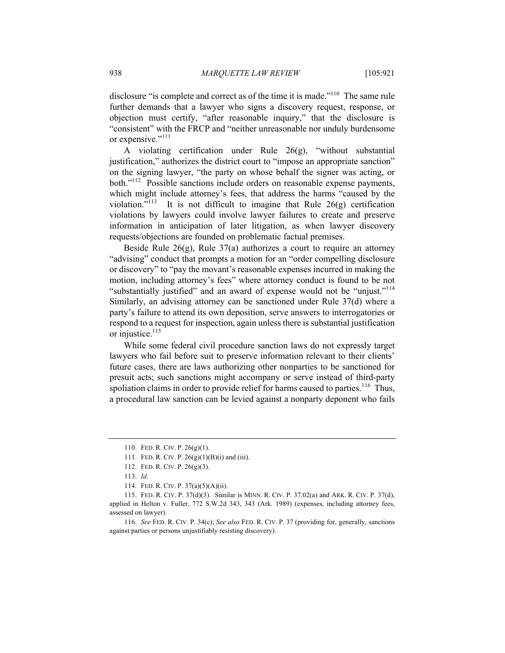disclosure "is complete and correct as of the time it is made."<sup>110</sup> The same rule further demands that a lawyer who signs a discovery request, response, or objection must certify, "after reasonable inquiry," that the disclosure is "consistent" with the FRCP and "neither unreasonable nor unduly burdensome or expensive."<sup>111</sup>

A violating certification under Rule 26(g), "without substantial justification," authorizes the district court to "impose an appropriate sanction" on the signing lawyer, "the party on whose behalf the signer was acting, or both."<sup>112</sup> Possible sanctions include orders on reasonable expense payments, which might include attorney's fees, that address the harms "caused by the violation."<sup>113</sup> It is not difficult to imagine that Rule  $26(g)$  certification violations by lawyers could involve lawyer failures to create and preserve information in anticipation of later litigation, as when lawyer discovery requests/objections are founded on problematic factual premises.

Beside Rule  $26(g)$ , Rule  $37(a)$  authorizes a court to require an attorney "advising" conduct that prompts a motion for an "order compelling disclosure or discovery" to "pay the movant's reasonable expenses incurred in making the motion, including attorney's fees" where attorney conduct is found to be not "substantially justified" and an award of expense would not be "unjust."<sup>114</sup> Similarly, an advising attorney can be sanctioned under Rule 37(d) where a party's failure to attend its own deposition, serve answers to interrogatories or respond to a request for inspection, again unless there is substantial justification or injustice. $115$ 

While some federal civil procedure sanction laws do not expressly target lawyers who fail before suit to preserve information relevant to their clients' future cases, there are laws authorizing other nonparties to be sanctioned for presuit acts; such sanctions might accompany or serve instead of third-party spoliation claims in order to provide relief for harms caused to parties.<sup>116</sup> Thus, a procedural law sanction can be levied against a nonparty deponent who fails

<sup>110.</sup> FED. R. CIV. P. 26(g)(1).

<sup>111.</sup> FED. R. CIV. P. 26(g)(1)(B)(i) and (iii).

<sup>112.</sup> FED. R. CIV. P. 26(g)(3).

<sup>113.</sup> *Id*.

<sup>114.</sup> FED. R. CIV. P. 37(a)(5)(A)(ii).

<sup>115.</sup> FED. R. CIV. P. 37(d)(3). Similar is MINN. R. CIV. P. 37.02(a) and ARK. R. CIV. P. 37(d), applied in Helton v. Fuller, 772 S.W.2d 343, 343 (Ark. 1989) (expenses, including attorney fees, assessed on lawyer).

<sup>116.</sup> *See* FED. R. CIV. P. 34(c); *See also* FED. R. CIV. P. 37 (providing for, generally, sanctions against parties or persons unjustifiably resisting discovery).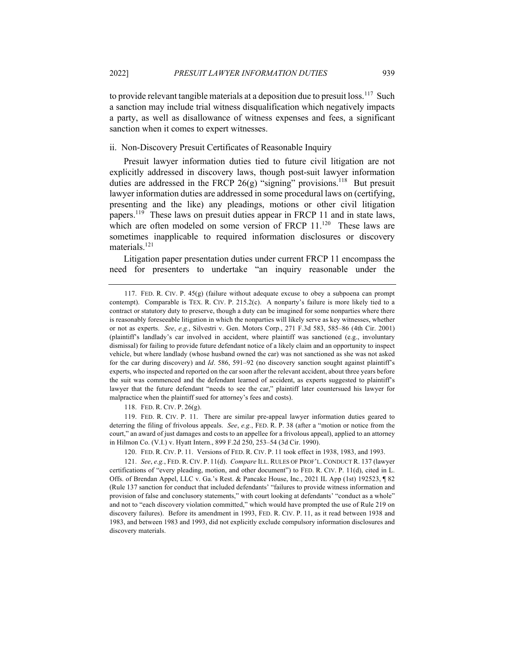to provide relevant tangible materials at a deposition due to presuit loss.<sup>117</sup> Such a sanction may include trial witness disqualification which negatively impacts a party, as well as disallowance of witness expenses and fees, a significant sanction when it comes to expert witnesses.

#### ii. Non-Discovery Presuit Certificates of Reasonable Inquiry

Presuit lawyer information duties tied to future civil litigation are not explicitly addressed in discovery laws, though post-suit lawyer information duties are addressed in the FRCP 26(g) "signing" provisions.<sup>118</sup> But presuit lawyer information duties are addressed in some procedural laws on (certifying, presenting and the like) any pleadings, motions or other civil litigation papers.<sup>119</sup> These laws on presuit duties appear in FRCP 11 and in state laws, which are often modeled on some version of FRCP 11.<sup>120</sup> These laws are sometimes inapplicable to required information disclosures or discovery materials.<sup>121</sup>

Litigation paper presentation duties under current FRCP 11 encompass the need for presenters to undertake "an inquiry reasonable under the

118. FED. R. CIV. P. 26(g).

119. FED. R. CIV. P. 11. There are similar pre-appeal lawyer information duties geared to deterring the filing of frivolous appeals. *See*, *e.g.*, FED. R. P. 38 (after a "motion or notice from the court," an award of just damages and costs to an appellee for a frivolous appeal), applied to an attorney in Hilmon Co. (V.I.) v. Hyatt Intern., 899 F.2d 250, 253–54 (3d Cir. 1990).

<sup>117.</sup> FED. R. CIV. P. 45(g) (failure without adequate excuse to obey a subpoena can prompt contempt). Comparable is TEX. R. CIV. P. 215.2(c). A nonparty's failure is more likely tied to a contract or statutory duty to preserve, though a duty can be imagined for some nonparties where there is reasonably foreseeable litigation in which the nonparties will likely serve as key witnesses, whether or not as experts. *See*, *e.g.*, Silvestri v. Gen. Motors Corp., 271 F.3d 583, 585–86 (4th Cir. 2001) (plaintiff's landlady's car involved in accident, where plaintiff was sanctioned (e.g., involuntary dismissal) for failing to provide future defendant notice of a likely claim and an opportunity to inspect vehicle, but where landlady (whose husband owned the car) was not sanctioned as she was not asked for the car during discovery) and *Id*. 586, 591–92 (no discovery sanction sought against plaintiff's experts, who inspected and reported on the car soon after the relevant accident, about three years before the suit was commenced and the defendant learned of accident, as experts suggested to plaintiff's lawyer that the future defendant "needs to see the car," plaintiff later countersued his lawyer for malpractice when the plaintiff sued for attorney's fees and costs).

<sup>120.</sup> FED. R. CIV. P. 11. Versions of FED. R. CIV. P. 11 took effect in 1938, 1983, and 1993.

<sup>121.</sup> *See*, *e.g.*, FED. R. CIV. P. 11(d). *Compare* ILL. RULES OF PROF'L. CONDUCT R. 137 (lawyer certifications of "every pleading, motion, and other document") to FED. R. CIV. P. 11(d), cited in L. Offs. of Brendan Appel, LLC v. Ga.'s Rest. & Pancake House, Inc., 2021 IL App (1st) 192523, ¶ 82 (Rule 137 sanction for conduct that included defendants' "failures to provide witness information and provision of false and conclusory statements," with court looking at defendants' "conduct as a whole" and not to "each discovery violation committed," which would have prompted the use of Rule 219 on discovery failures). Before its amendment in 1993, FED. R. CIV. P. 11, as it read between 1938 and 1983, and between 1983 and 1993, did not explicitly exclude compulsory information disclosures and discovery materials.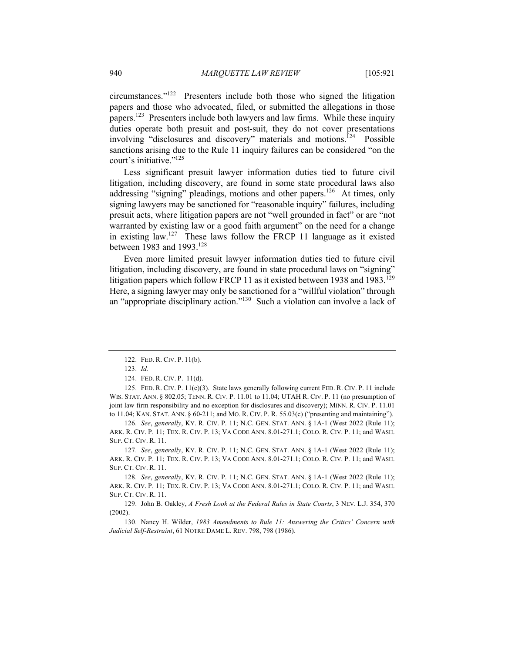circumstances."122 Presenters include both those who signed the litigation papers and those who advocated, filed, or submitted the allegations in those papers.<sup>123</sup> Presenters include both lawyers and law firms. While these inquiry duties operate both presuit and post-suit, they do not cover presentations involving "disclosures and discovery" materials and motions.<sup>124</sup> Possible sanctions arising due to the Rule 11 inquiry failures can be considered "on the court's initiative."125

Less significant presuit lawyer information duties tied to future civil litigation, including discovery, are found in some state procedural laws also addressing "signing" pleadings, motions and other papers.<sup>126</sup> At times, only signing lawyers may be sanctioned for "reasonable inquiry" failures, including presuit acts, where litigation papers are not "well grounded in fact" or are "not warranted by existing law or a good faith argument" on the need for a change in existing law.<sup>127</sup> These laws follow the FRCP 11 language as it existed between 1983 and 1993.<sup>128</sup>

Even more limited presuit lawyer information duties tied to future civil litigation, including discovery, are found in state procedural laws on "signing" litigation papers which follow FRCP 11 as it existed between 1938 and 1983.<sup>129</sup> Here, a signing lawyer may only be sanctioned for a "willful violation" through an "appropriate disciplinary action."<sup>130</sup> Such a violation can involve a lack of

125. FED. R. CIV. P. 11(c)(3). State laws generally following current FED. R. CIV. P. 11 include WIS. STAT. ANN. § 802.05; TENN. R. CIV. P. 11.01 to 11.04; UTAH R. CIV. P. 11 (no presumption of joint law firm responsibility and no exception for disclosures and discovery); MINN. R. CIV. P. 11.01 to 11.04; KAN. STAT. ANN. § 60-211; and MO. R. CIV. P. R. 55.03(c) ("presenting and maintaining").

126. *See*, *generally*, KY. R. CIV. P. 11; N.C. GEN. STAT. ANN. § 1A-1 (West 2022 (Rule 11); ARK. R. CIV. P. 11; TEX. R. CIV. P. 13; VA CODE ANN. 8.01-271.1; COLO. R. CIV. P. 11; and WASH. SUP. CT. CIV. R. 11.

127. *See*, *generally*, KY. R. CIV. P. 11; N.C. GEN. STAT. ANN. § 1A-1 (West 2022 (Rule 11); ARK. R. CIV. P. 11; TEX. R. CIV. P. 13; VA CODE ANN. 8.01-271.1; COLO. R. CIV. P. 11; and WASH. SUP. CT. CIV. R. 11.

128. *See*, *generally*, KY. R. CIV. P. 11; N.C. GEN. STAT. ANN. § 1A-1 (West 2022 (Rule 11); ARK. R. CIV. P. 11; TEX. R. CIV. P. 13; VA CODE ANN. 8.01-271.1; COLO. R. CIV. P. 11; and WASH. SUP. CT. CIV. R. 11.

129. John B. Oakley, *A Fresh Look at the Federal Rules in State Courts*, 3 NEV. L.J. 354, 370 (2002).

130. Nancy H. Wilder, *1983 Amendments to Rule 11: Answering the Critics' Concern with Judicial Self-Restraint*, 61 NOTRE DAME L. REV. 798, 798 (1986).

<sup>122.</sup> FED. R. CIV. P. 11(b).

<sup>123.</sup> *Id.*

<sup>124.</sup> FED. R. CIV. P. 11(d).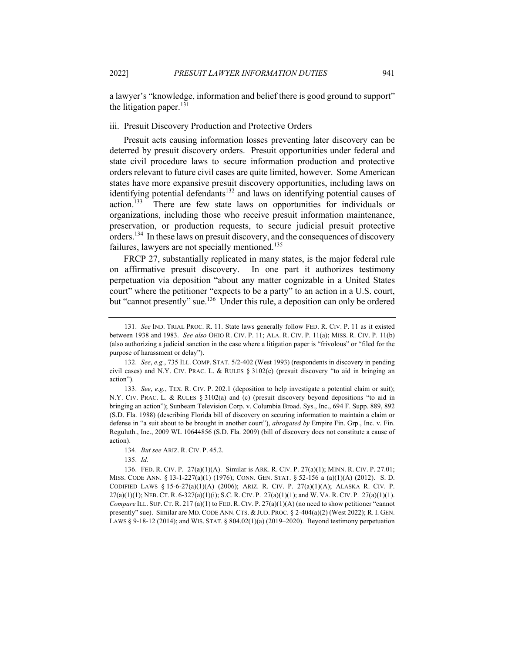a lawyer's "knowledge, information and belief there is good ground to support" the litigation paper. $^{131}$ 

#### iii. Presuit Discovery Production and Protective Orders

Presuit acts causing information losses preventing later discovery can be deterred by presuit discovery orders. Presuit opportunities under federal and state civil procedure laws to secure information production and protective orders relevant to future civil cases are quite limited, however. Some American states have more expansive presuit discovery opportunities, including laws on identifying potential defendants<sup>132</sup> and laws on identifying potential causes of action.<sup>133</sup> There are few state laws on opportunities for individuals or organizations, including those who receive presuit information maintenance, preservation, or production requests, to secure judicial presuit protective orders.<sup>134</sup> In these laws on presuit discovery, and the consequences of discovery failures, lawyers are not specially mentioned.<sup>135</sup>

FRCP 27, substantially replicated in many states, is the major federal rule on affirmative presuit discovery. In one part it authorizes testimony perpetuation via deposition "about any matter cognizable in a United States court" where the petitioner "expects to be a party" to an action in a U.S. court, but "cannot presently" sue.<sup>136</sup> Under this rule, a deposition can only be ordered

<sup>131.</sup> *See* IND. TRIAL PROC. R. 11. State laws generally follow FED. R. CIV. P. 11 as it existed between 1938 and 1983. *See also* OHIO R. CIV. P. 11; ALA. R. CIV. P. 11(a); MISS. R. CIV. P. 11(b) (also authorizing a judicial sanction in the case where a litigation paper is "frivolous" or "filed for the purpose of harassment or delay").

<sup>132.</sup> *See*, *e.g.*, 735 ILL. COMP. STAT. 5/2-402 (West 1993) (respondents in discovery in pending civil cases) and N.Y. CIV. PRAC. L. & RULES § 3102(c) (presuit discovery "to aid in bringing an action").

<sup>133.</sup> *See*, *e.g.*, TEX. R. CIV. P. 202.1 (deposition to help investigate a potential claim or suit); N.Y. CIV. PRAC. L. & RULES § 3102(a) and (c) (presuit discovery beyond depositions "to aid in bringing an action"); Sunbeam Television Corp. v. Columbia Broad. Sys., Inc., 694 F. Supp. 889, 892 (S.D. Fla. 1988) (describing Florida bill of discovery on securing information to maintain a claim or defense in "a suit about to be brought in another court"), *abrogated by* Empire Fin. Grp., Inc. v. Fin. Reguluth., Inc., 2009 WL 10644856 (S.D. Fla. 2009) (bill of discovery does not constitute a cause of action).

<sup>134.</sup> *But see* ARIZ. R. CIV. P. 45.2.

<sup>135.</sup> *Id*.

<sup>136.</sup> FED. R. CIV. P. 27(a)(1)(A). Similar is ARK. R. CIV. P. 27(a)(1); MINN. R. CIV. P. 27.01; MISS. CODE ANN. § 13-1-227(a)(1) (1976); CONN. GEN. STAT. § 52-156 a (a)(1)(A) (2012). S. D. CODIFIED LAWS § 15-6-27(a)(1)(A) (2006); ARIZ. R. CIV. P. 27(a)(1)(A); ALASKA R. CIV. P.  $27(a)(1)(1)$ ; NEB. CT. R. 6-327(a)(1)(i); S.C. R. CIV. P.  $27(a)(1)(1)$ ; and W. VA. R. CIV. P.  $27(a)(1)(1)$ . *Compare* ILL. SUP. CT. R. 217 (a)(1) to FED. R. CIV. P. 27(a)(1)(A) (no need to show petitioner "cannot" presently" sue). Similar are MD. CODE ANN. CTS. & JUD. PROC. § 2-404(a)(2) (West 2022); R. I. GEN. LAWS § 9-18-12 (2014); and WIS. STAT. § 804.02(1)(a) (2019–2020). Beyond testimony perpetuation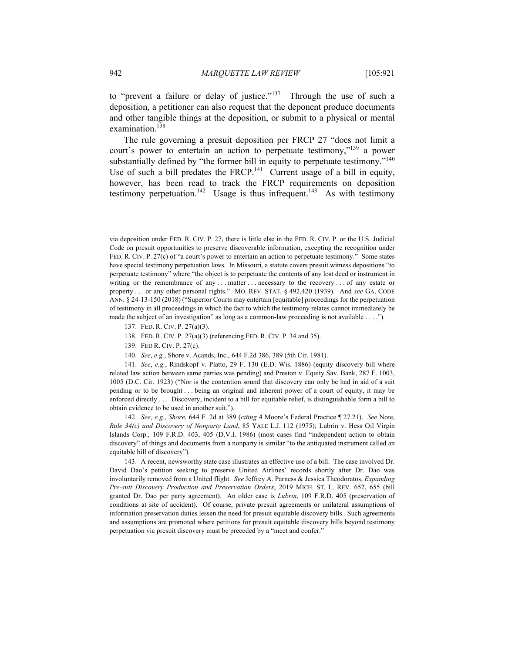to "prevent a failure or delay of justice."<sup>137</sup> Through the use of such a deposition, a petitioner can also request that the deponent produce documents and other tangible things at the deposition, or submit to a physical or mental examination.<sup>138</sup>

The rule governing a presuit deposition per FRCP 27 "does not limit a court's power to entertain an action to perpetuate testimony,"<sup>139</sup> a power substantially defined by "the former bill in equity to perpetuate testimony."<sup>140</sup> Use of such a bill predates the FRCP.<sup>141</sup> Current usage of a bill in equity, however, has been read to track the FRCP requirements on deposition testimony perpetuation.<sup>142</sup> Usage is thus infrequent.<sup>143</sup> As with testimony

- 138. FED. R. CIV. P. 27(a)(3) (referencing FED. R. CIV. P. 34 and 35).
- 139. FED R. CIV. P. 27(c).
- 140. *See*, *e.g.*, Shore v. Acands, Inc., 644 F.2d 386, 389 (5th Cir. 1981).

141. *See*, *e.g.*, Rindskopf v. Platto, 29 F. 130 (E.D. Wis. 1886) (equity discovery bill where related law action between same parties was pending) and Preston v. Equity Sav. Bank, 287 F. 1003, 1005 (D.C. Cir. 1923) ("Nor is the contention sound that discovery can only be had in aid of a suit pending or to be brought . . . being an original and inherent power of a court of equity, it may be enforced directly . . . Discovery, incident to a bill for equitable relief, is distinguishable form a bill to obtain evidence to be used in another suit.").

142. *See*, *e.g.*, *Shore*, 644 F. 2d at 389 (*citing* 4 Moore's Federal Practice ¶ 27.21). *See* Note, *Rule 34(c) and Discovery of Nonparty Land*, 85 YALE L.J. 112 (1975); Lubrin v. Hess Oil Virgin Islands Corp., 109 F.R.D. 403, 405 (D.V.I. 1986) (most cases find "independent action to obtain discovery" of things and documents from a nonparty is similar "to the antiquated instrument called an equitable bill of discovery").

143. A recent, newsworthy state case illustrates an effective use of a bill. The case involved Dr. David Dao's petition seeking to preserve United Airlines' records shortly after Dr. Dao was involuntarily removed from a United flight. *See* Jeffrey A. Parness & Jessica Theodoratos, *Expanding Pre-suit Discovery Production and Preservation Orders*, 2019 MICH. ST. L. REV. 652, 655 (bill granted Dr. Dao per party agreement). An older case is *Lubrin*, 109 F.R.D. 405 (preservation of conditions at site of accident). Of course, private presuit agreements or unilateral assumptions of information preservation duties lessen the need for presuit equitable discovery bills. Such agreements and assumptions are promoted where petitions for presuit equitable discovery bills beyond testimony perpetuation via presuit discovery must be preceded by a "meet and confer."

via deposition under FED. R. CIV. P. 27, there is little else in the FED. R. CIV. P. or the U.S. Judicial Code on presuit opportunities to preserve discoverable information, excepting the recognition under FED. R. CIV. P. 27(c) of "a court's power to entertain an action to perpetuate testimony." Some states have special testimony perpetuation laws. In Missouri, a statute covers presuit witness depositions "to perpetuate testimony" where "the object is to perpetuate the contents of any lost deed or instrument in writing or the remembrance of any ... matter ... necessary to the recovery ... of any estate or property . . . or any other personal rights." MO. REV. STAT. § 492.420 (1939). And *see* GA. CODE ANN. § 24-13-150 (2018) ("Superior Courts may entertain [equitable] proceedings for the perpetuation of testimony in all proceedings in which the fact to which the testimony relates cannot immediately be made the subject of an investigation" as long as a common-law proceeding is not available . . . .").

<sup>137.</sup> FED. R. CIV. P. 27(a)(3).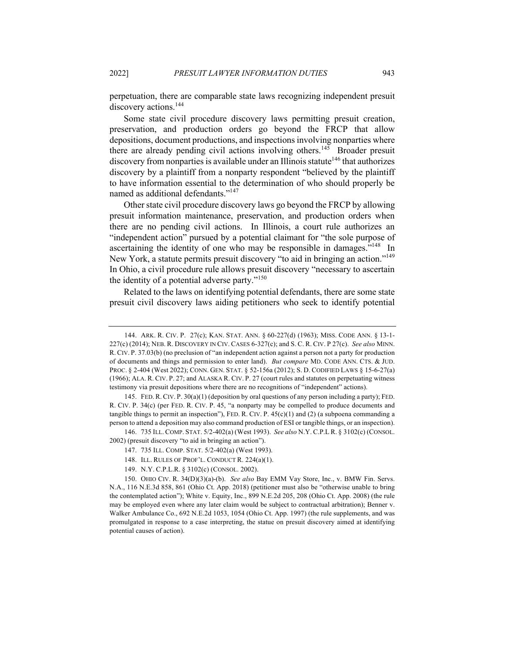perpetuation, there are comparable state laws recognizing independent presuit discovery actions.<sup>144</sup>

Some state civil procedure discovery laws permitting presuit creation, preservation, and production orders go beyond the FRCP that allow depositions, document productions, and inspections involving nonparties where there are already pending civil actions involving others.<sup>145</sup> Broader presuit discovery from nonparties is available under an Illinois statute<sup>146</sup> that authorizes discovery by a plaintiff from a nonparty respondent "believed by the plaintiff to have information essential to the determination of who should properly be named as additional defendants."<sup>147</sup>

Other state civil procedure discovery laws go beyond the FRCP by allowing presuit information maintenance, preservation, and production orders when there are no pending civil actions. In Illinois, a court rule authorizes an "independent action" pursued by a potential claimant for "the sole purpose of ascertaining the identity of one who may be responsible in damages.<sup> $148$ </sup> In New York, a statute permits presuit discovery "to aid in bringing an action."<sup>149</sup> In Ohio, a civil procedure rule allows presuit discovery "necessary to ascertain the identity of a potential adverse party."<sup>150</sup>

Related to the laws on identifying potential defendants, there are some state presuit civil discovery laws aiding petitioners who seek to identify potential

146. 735 ILL. COMP. STAT. 5/2-402(a) (West 1993). *See also* N.Y. C.P.L R. § 3102(c) (CONSOL. 2002) (presuit discovery "to aid in bringing an action").

<sup>144.</sup> ARK. R. CIV. P. 27(c); KAN. STAT. ANN. § 60-227(d) (1963); MISS. CODE ANN. § 13-1- 227(c) (2014); NEB. R. DISCOVERY IN CIV. CASES 6-327(c); and S. C. R. CIV. P 27(c). *See also* MINN. R. CIV. P. 37.03(b) (no preclusion of "an independent action against a person not a party for production of documents and things and permission to enter land). *But compare* MD. CODE ANN. CTS. & JUD. PROC. § 2-404 (West 2022); CONN. GEN. STAT. § 52-156a (2012); S. D. CODIFIED LAWS § 15-6-27(a) (1966); ALA. R. CIV. P. 27; and ALASKA R. CIV. P. 27 (court rules and statutes on perpetuating witness testimony via presuit depositions where there are no recognitions of "independent" actions).

<sup>145.</sup> FED. R. CIV. P. 30(a)(1) (deposition by oral questions of any person including a party); FED. R. CIV. P. 34(c) (per FED. R. CIV. P. 45, "a nonparty may be compelled to produce documents and tangible things to permit an inspection"), FED. R. CIV. P.  $45(c)(1)$  and (2) (a subpoena commanding a person to attend a deposition may also command production of ESI or tangible things, or an inspection).

<sup>147.</sup> 735 ILL. COMP. STAT. 5/2-402(a) (West 1993).

<sup>148.</sup> ILL. RULES OF PROF'L. CONDUCT R. 224(a)(1).

<sup>149.</sup> N.Y. C.P.L.R. § 3102(c) (CONSOL. 2002).

<sup>150.</sup> OHIO CIV. R. 34(D)(3)(a)-(b). *See also* Bay EMM Vay Store, Inc., v. BMW Fin. Servs. N.A., 116 N.E.3d 858, 861 (Ohio Ct. App. 2018) (petitioner must also be "otherwise unable to bring the contemplated action"); White v. Equity, Inc., 899 N.E.2d 205, 208 (Ohio Ct. App. 2008) (the rule may be employed even where any later claim would be subject to contractual arbitration); Benner v. Walker Ambulance Co., 692 N.E.2d 1053, 1054 (Ohio Ct. App. 1997) (the rule supplements, and was promulgated in response to a case interpreting, the statue on presuit discovery aimed at identifying potential causes of action).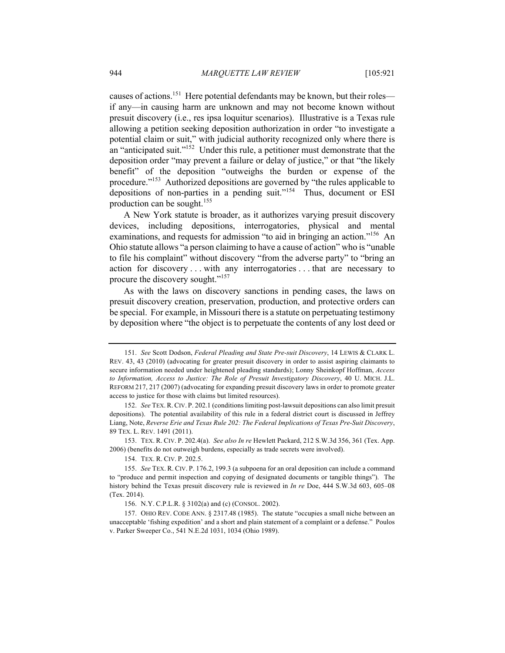causes of actions.<sup>151</sup> Here potential defendants may be known, but their roles if any—in causing harm are unknown and may not become known without presuit discovery (i.e., res ipsa loquitur scenarios). Illustrative is a Texas rule allowing a petition seeking deposition authorization in order "to investigate a potential claim or suit," with judicial authority recognized only where there is an "anticipated suit."<sup>152</sup> Under this rule, a petitioner must demonstrate that the deposition order "may prevent a failure or delay of justice," or that "the likely benefit" of the deposition "outweighs the burden or expense of the procedure."<sup>153</sup> Authorized depositions are governed by "the rules applicable to depositions of non-parties in a pending suit."<sup>154</sup> Thus, document or ESI production can be sought.<sup>155</sup>

A New York statute is broader, as it authorizes varying presuit discovery devices, including depositions, interrogatories, physical and mental examinations, and requests for admission "to aid in bringing an action."<sup>156</sup> An Ohio statute allows "a person claiming to have a cause of action" who is "unable to file his complaint" without discovery "from the adverse party" to "bring an action for discovery . . . with any interrogatories . . . that are necessary to procure the discovery sought."<sup>157</sup>

As with the laws on discovery sanctions in pending cases, the laws on presuit discovery creation, preservation, production, and protective orders can be special. For example, in Missouri there is a statute on perpetuating testimony by deposition where "the object is to perpetuate the contents of any lost deed or

<sup>151.</sup> *See* Scott Dodson, *Federal Pleading and State Pre-suit Discovery*, 14 LEWIS & CLARK L. REV. 43, 43 (2010) (advocating for greater presuit discovery in order to assist aspiring claimants to secure information needed under heightened pleading standards); Lonny Sheinkopf Hoffman, *Access to Information, Access to Justice: The Role of Presuit Investigatory Discovery*, 40 U. MICH. J.L. REFORM 217, 217 (2007) (advocating for expanding presuit discovery laws in order to promote greater access to justice for those with claims but limited resources).

<sup>152.</sup> *See* TEX.R.CIV. P. 202.1 (conditions limiting post-lawsuit depositions can also limit presuit depositions). The potential availability of this rule in a federal district court is discussed in Jeffrey Liang, Note, *Reverse Erie and Texas Rule 202: The Federal Implications of Texas Pre-Suit Discovery*, 89 TEX. L. REV. 1491 (2011).

<sup>153.</sup> TEX. R. CIV. P. 202.4(a). *See also In re* Hewlett Packard, 212 S.W.3d 356, 361 (Tex. App. 2006) (benefits do not outweigh burdens, especially as trade secrets were involved).

<sup>154.</sup> TEX. R. CIV. P. 202.5.

<sup>155.</sup> *See* TEX. R. CIV. P. 176.2, 199.3 (a subpoena for an oral deposition can include a command to "produce and permit inspection and copying of designated documents or tangible things"). The history behind the Texas presuit discovery rule is reviewed in *In re* Doe, 444 S.W.3d 603, 605–08 (Tex. 2014).

<sup>156.</sup> N.Y. C.P.L.R. § 3102(a) and (c) (CONSOL. 2002).

<sup>157.</sup> OHIO REV. CODE ANN. § 2317.48 (1985). The statute "occupies a small niche between an unacceptable 'fishing expedition' and a short and plain statement of a complaint or a defense." Poulos v. Parker Sweeper Co., 541 N.E.2d 1031, 1034 (Ohio 1989).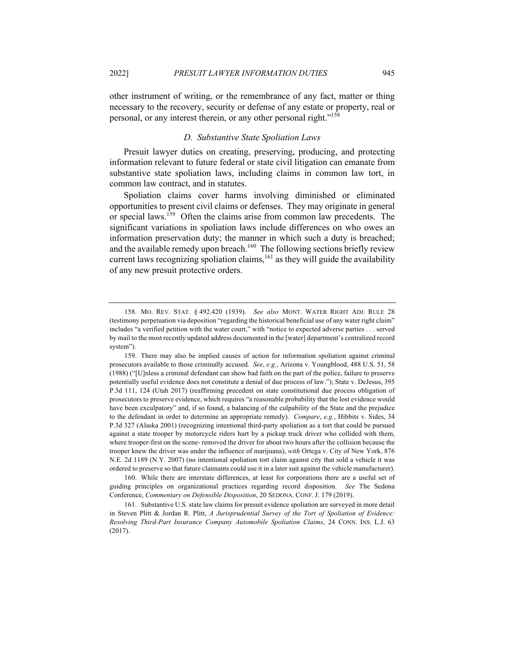other instrument of writing, or the remembrance of any fact, matter or thing necessary to the recovery, security or defense of any estate or property, real or personal, or any interest therein, or any other personal right."<sup>158</sup>

#### *D. Substantive State Spoliation Laws*

Presuit lawyer duties on creating, preserving, producing, and protecting information relevant to future federal or state civil litigation can emanate from substantive state spoliation laws, including claims in common law tort, in common law contract, and in statutes.

Spoliation claims cover harms involving diminished or eliminated opportunities to present civil claims or defenses. They may originate in general or special laws.<sup>159</sup> Often the claims arise from common law precedents. The significant variations in spoliation laws include differences on who owes an information preservation duty; the manner in which such a duty is breached; and the available remedy upon breach.<sup>160</sup> The following sections briefly review current laws recognizing spoliation claims,  $161$  as they will guide the availability of any new presuit protective orders.

160. While there are interstate differences, at least for corporations there are a useful set of guiding principles on organizational practices regarding record disposition. *See* The Sedona Conference, *Commentary on Defensible Disposition*, 20 SEDONA. CONF. J. 179 (2019).

161. Substantive U.S. state law claims for presuit evidence spoliation are surveyed in more detail in Steven Plitt & Jordan R. Plitt, *A Jurisprudential Survey of the Tort of Spoliation of Evidence: Resolving Third-Part Insurance Company Automobile Spoliation Claims*, 24 CONN. INS. L.J. 63 (2017).

<sup>158.</sup> MO. REV. STAT. § 492.420 (1939). *See also* MONT. WATER RIGHT ADJ. RULE 28 (testimony perpetuation via deposition "regarding the historical beneficial use of any water right claim" includes "a verified petition with the water court," with "notice to expected adverse parties . . . served by mail to the most recently updated address documented in the [water] department's centralized record system").

<sup>159.</sup> There may also be implied causes of action for information spoliation against criminal prosecutors available to those criminally accused. *See*, *e.g.*, Arizona v. Youngblood, 488 U.S. 51, 58 (1988) ("[U]nless a criminal defendant can show bad faith on the part of the police, failure to preserve potentially useful evidence does not constitute a denial of due process of law."); State v. DeJesus, 395 P.3d 111, 124 (Utah 2017) (reaffirming precedent on state constitutional due process obligation of prosecutors to preserve evidence, which requires "a reasonable probability that the lost evidence would have been exculpatory" and, if so found, a balancing of the culpability of the State and the prejudice to the defendant in order to determine an appropriate remedy). *Compare*, *e.g.*, Hibbits v. Sides, 34 P.3d 327 (Alaska 2001) (recognizing intentional third-party spoliation as a tort that could be pursued against a state trooper by motorcycle riders hurt by a pickup truck driver who collided with them, where trooper-first on the scene- removed the driver for about two hours after the collision because the trooper knew the driver was under the influence of marijuana), *with* Ortega v. City of New York, 876 N.E. 2d 1189 (N.Y. 2007) (no intentional spoliation tort claim against city that sold a vehicle it was ordered to preserve so that future claimants could use it in a later suit against the vehicle manufacturer).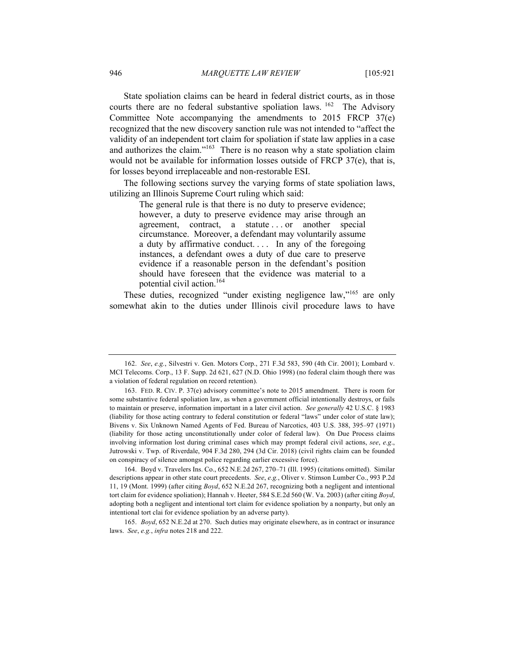State spoliation claims can be heard in federal district courts, as in those courts there are no federal substantive spoliation laws.  $162$  The Advisory Committee Note accompanying the amendments to 2015 FRCP 37(e) recognized that the new discovery sanction rule was not intended to "affect the validity of an independent tort claim for spoliation if state law applies in a case and authorizes the claim."<sup>163</sup> There is no reason why a state spoliation claim would not be available for information losses outside of FRCP 37(e), that is, for losses beyond irreplaceable and non-restorable ESI.

The following sections survey the varying forms of state spoliation laws, utilizing an Illinois Supreme Court ruling which said:

> The general rule is that there is no duty to preserve evidence; however, a duty to preserve evidence may arise through an agreement, contract, a statute . . . or another special circumstance. Moreover, a defendant may voluntarily assume a duty by affirmative conduct.... In any of the foregoing instances, a defendant owes a duty of due care to preserve evidence if a reasonable person in the defendant's position should have foreseen that the evidence was material to a potential civil action.164

These duties, recognized "under existing negligence law,"<sup>165</sup> are only somewhat akin to the duties under Illinois civil procedure laws to have

165. *Boyd*, 652 N.E.2d at 270. Such duties may originate elsewhere, as in contract or insurance laws. *See*, *e.g.*, *infra* notes 218 and 222.

<sup>162.</sup> *See*, *e.g.*, Silvestri v. Gen. Motors Corp., 271 F.3d 583, 590 (4th Cir. 2001); Lombard v. MCI Telecoms. Corp., 13 F. Supp. 2d 621, 627 (N.D. Ohio 1998) (no federal claim though there was a violation of federal regulation on record retention).

<sup>163.</sup> FED. R. CIV. P. 37(e) advisory committee's note to 2015 amendment. There is room for some substantive federal spoliation law, as when a government official intentionally destroys, or fails to maintain or preserve, information important in a later civil action. *See generally* 42 U.S.C. § 1983 (liability for those acting contrary to federal constitution or federal "laws" under color of state law); Bivens v. Six Unknown Named Agents of Fed. Bureau of Narcotics, 403 U.S. 388, 395–97 (1971) (liability for those acting unconstitutionally under color of federal law). On Due Process claims involving information lost during criminal cases which may prompt federal civil actions, *see*, *e.g*., Jutrowski v. Twp. of Riverdale, 904 F.3d 280, 294 (3d Cir. 2018) (civil rights claim can be founded on conspiracy of silence amongst police regarding earlier excessive force).

<sup>164.</sup> Boyd v. Travelers Ins. Co., 652 N.E.2d 267, 270–71 (Ill. 1995) (citations omitted). Similar descriptions appear in other state court precedents. *See*, *e.g.*, Oliver v. Stimson Lumber Co., 993 P.2d 11, 19 (Mont. 1999) (after citing *Boyd*, 652 N.E.2d 267, recognizing both a negligent and intentional tort claim for evidence spoliation); Hannah v. Heeter, 584 S.E.2d 560 (W. Va. 2003) (after citing *Boyd*, adopting both a negligent and intentional tort claim for evidence spoliation by a nonparty, but only an intentional tort clai for evidence spoliation by an adverse party).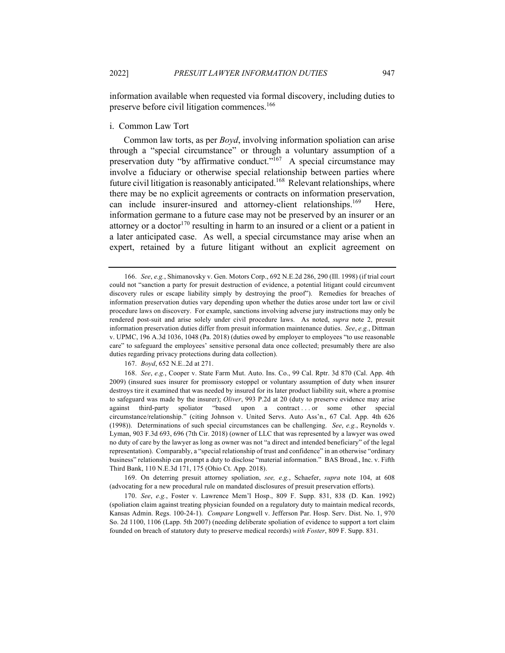information available when requested via formal discovery, including duties to preserve before civil litigation commences.<sup>166</sup>

i. Common Law Tort

Common law torts, as per *Boyd*, involving information spoliation can arise through a "special circumstance" or through a voluntary assumption of a preservation duty "by affirmative conduct."<sup>167</sup> A special circumstance may involve a fiduciary or otherwise special relationship between parties where future civil litigation is reasonably anticipated.<sup>168</sup> Relevant relationships, where there may be no explicit agreements or contracts on information preservation, can include insurer-insured and attorney-client relationships.<sup>169</sup> Here, information germane to a future case may not be preserved by an insurer or an attorney or a doctor<sup>170</sup> resulting in harm to an insured or a client or a patient in a later anticipated case. As well, a special circumstance may arise when an expert, retained by a future litigant without an explicit agreement on

167. *Boyd*, 652 N.E..2d at 271.

168. *See*, *e.g.*, Cooper v. State Farm Mut. Auto. Ins. Co., 99 Cal. Rptr. 3d 870 (Cal. App. 4th 2009) (insured sues insurer for promissory estoppel or voluntary assumption of duty when insurer destroys tire it examined that was needed by insured for its later product liability suit, where a promise to safeguard was made by the insurer); *Oliver*, 993 P.2d at 20 (duty to preserve evidence may arise against third-party spoliator "based upon a contract ... or some other special circumstance/relationship." (citing Johnson v. United Servs. Auto Ass'n., 67 Cal. App. 4th 626 (1998)). Determinations of such special circumstances can be challenging. *See*, *e.g.*, Reynolds v. Lyman, 903 F.3d 693, 696 (7th Cir. 2018) (owner of LLC that was represented by a lawyer was owed no duty of care by the lawyer as long as owner was not "a direct and intended beneficiary" of the legal representation). Comparably, a "special relationship of trust and confidence" in an otherwise "ordinary business" relationship can prompt a duty to disclose "material information." BAS Broad., Inc. v. Fifth Third Bank, 110 N.E.3d 171, 175 (Ohio Ct. App. 2018).

169. On deterring presuit attorney spoliation, *see, e.g.*, Schaefer, *supra* note 104, at 608 (advocating for a new procedural rule on mandated disclosures of presuit preservation efforts).

170. *See*, *e.g.*, Foster v. Lawrence Mem'l Hosp., 809 F. Supp. 831, 838 (D. Kan. 1992) (spoliation claim against treating physician founded on a regulatory duty to maintain medical records, Kansas Admin. Regs. 100-24-1). *Compare* Longwell v. Jefferson Par. Hosp. Serv. Dist. No. 1, 970 So. 2d 1100, 1106 (Lapp. 5th 2007) (needing deliberate spoliation of evidence to support a tort claim founded on breach of statutory duty to preserve medical records) *with Foster*, 809 F. Supp. 831.

<sup>166.</sup> *See*, *e.g.*, Shimanovsky v. Gen. Motors Corp., 692 N.E.2d 286, 290 (Ill. 1998) (if trial court could not "sanction a party for presuit destruction of evidence, a potential litigant could circumvent discovery rules or escape liability simply by destroying the proof"). Remedies for breaches of information preservation duties vary depending upon whether the duties arose under tort law or civil procedure laws on discovery. For example, sanctions involving adverse jury instructions may only be rendered post-suit and arise solely under civil procedure laws. As noted, *supra* note 2, presuit information preservation duties differ from presuit information maintenance duties. *See*, *e.g.*, Dittman v. UPMC, 196 A.3d 1036, 1048 (Pa. 2018) (duties owed by employer to employees "to use reasonable care" to safeguard the employees' sensitive personal data once collected; presumably there are also duties regarding privacy protections during data collection).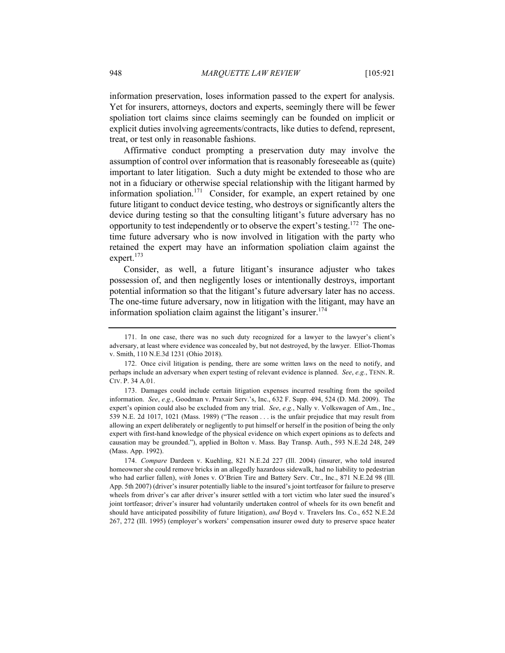information preservation, loses information passed to the expert for analysis. Yet for insurers, attorneys, doctors and experts, seemingly there will be fewer spoliation tort claims since claims seemingly can be founded on implicit or explicit duties involving agreements/contracts, like duties to defend, represent, treat, or test only in reasonable fashions.

Affirmative conduct prompting a preservation duty may involve the assumption of control over information that is reasonably foreseeable as (quite) important to later litigation. Such a duty might be extended to those who are not in a fiduciary or otherwise special relationship with the litigant harmed by information spoliation.<sup>171</sup> Consider, for example, an expert retained by one future litigant to conduct device testing, who destroys or significantly alters the device during testing so that the consulting litigant's future adversary has no opportunity to test independently or to observe the expert's testing.<sup>172</sup> The onetime future adversary who is now involved in litigation with the party who retained the expert may have an information spoliation claim against the expert.<sup>173</sup>

Consider, as well, a future litigant's insurance adjuster who takes possession of, and then negligently loses or intentionally destroys, important potential information so that the litigant's future adversary later has no access. The one-time future adversary, now in litigation with the litigant, may have an information spoliation claim against the litigant's insurer.<sup>174</sup>

174. *Compare* Dardeen v. Kuehling, 821 N.E.2d 227 (Ill. 2004) (insurer, who told insured homeowner she could remove bricks in an allegedly hazardous sidewalk, had no liability to pedestrian who had earlier fallen), *with* Jones v. O'Brien Tire and Battery Serv. Ctr., Inc., 871 N.E.2d 98 (Ill. App. 5th 2007) (driver's insurer potentially liable to the insured's joint tortfeasor for failure to preserve wheels from driver's car after driver's insurer settled with a tort victim who later sued the insured's joint tortfeasor; driver's insurer had voluntarily undertaken control of wheels for its own benefit and should have anticipated possibility of future litigation), *and* Boyd v. Travelers Ins. Co., 652 N.E.2d 267, 272 (Ill. 1995) (employer's workers' compensation insurer owed duty to preserve space heater

<sup>171.</sup> In one case, there was no such duty recognized for a lawyer to the lawyer's client's adversary, at least where evidence was concealed by, but not destroyed, by the lawyer. Elliot-Thomas v. Smith, 110 N.E.3d 1231 (Ohio 2018).

<sup>172.</sup> Once civil litigation is pending, there are some written laws on the need to notify, and perhaps include an adversary when expert testing of relevant evidence is planned. *See*, *e.g.*, TENN. R. CIV. P. 34 A.01.

<sup>173.</sup> Damages could include certain litigation expenses incurred resulting from the spoiled information. *See*, *e.g.*, Goodman v. Praxair Serv.'s, Inc., 632 F. Supp. 494, 524 (D. Md. 2009). The expert's opinion could also be excluded from any trial. *See*, *e.g.*, Nally v. Volkswagen of Am., Inc., 539 N.E. 2d 1017, 1021 (Mass. 1989) ("The reason . . . is the unfair prejudice that may result from allowing an expert deliberately or negligently to put himself or herself in the position of being the only expert with first-hand knowledge of the physical evidence on which expert opinions as to defects and causation may be grounded."), applied in Bolton v. Mass. Bay Transp. Auth., 593 N.E.2d 248, 249 (Mass. App. 1992).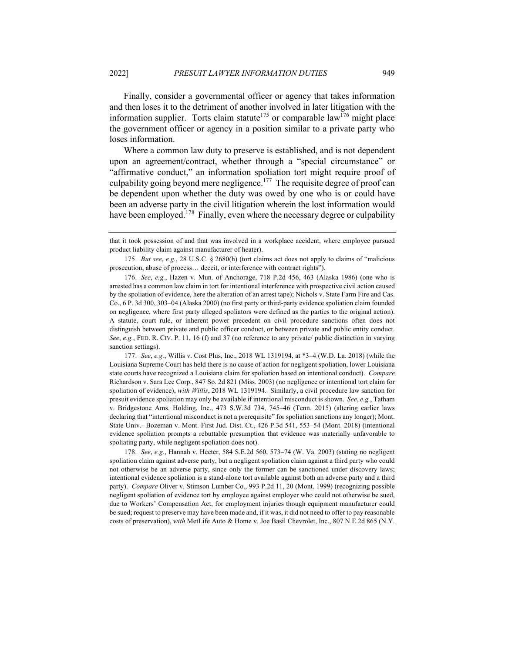Finally, consider a governmental officer or agency that takes information and then loses it to the detriment of another involved in later litigation with the information supplier. Torts claim statute<sup>175</sup> or comparable law<sup>176</sup> might place the government officer or agency in a position similar to a private party who loses information.

Where a common law duty to preserve is established, and is not dependent upon an agreement/contract, whether through a "special circumstance" or "affirmative conduct," an information spoliation tort might require proof of culpability going beyond mere negligence.<sup>177</sup> The requisite degree of proof can be dependent upon whether the duty was owed by one who is or could have been an adverse party in the civil litigation wherein the lost information would have been employed.<sup>178</sup> Finally, even where the necessary degree or culpability

178. *See*, *e.g.*, Hannah v. Heeter, 584 S.E.2d 560, 573–74 (W. Va. 2003) (stating no negligent spoliation claim against adverse party, but a negligent spoliation claim against a third party who could not otherwise be an adverse party, since only the former can be sanctioned under discovery laws; intentional evidence spoliation is a stand-alone tort available against both an adverse party and a third party). *Compare* Oliver v. Stimson Lumber Co., 993 P.2d 11, 20 (Mont. 1999) (recognizing possible negligent spoliation of evidence tort by employee against employer who could not otherwise be sued, due to Workers' Compensation Act, for employment injuries though equipment manufacturer could be sued; request to preserve may have been made and, if it was, it did not need to offer to pay reasonable costs of preservation), *with* MetLife Auto & Home v. Joe Basil Chevrolet, Inc., 807 N.E.2d 865 (N.Y.

that it took possession of and that was involved in a workplace accident, where employee pursued product liability claim against manufacturer of heater).

<sup>175.</sup> *But see*, *e.g.*, 28 U.S.C. § 2680(h) (tort claims act does not apply to claims of "malicious prosecution, abuse of process… deceit, or interference with contract rights").

<sup>176.</sup> *See*, *e.g.*, Hazen v. Mun. of Anchorage, 718 P.2d 456, 463 (Alaska 1986) (one who is arrested has a common law claim in tort for intentional interference with prospective civil action caused by the spoliation of evidence, here the alteration of an arrest tape); Nichols v. State Farm Fire and Cas. Co., 6 P. 3d 300, 303–04 (Alaska 2000) (no first party or third-party evidence spoliation claim founded on negligence, where first party alleged spoliators were defined as the parties to the original action). A statute, court rule, or inherent power precedent on civil procedure sanctions often does not distinguish between private and public officer conduct, or between private and public entity conduct. *See*, *e.g.*, FED. R. CIV. P. 11, 16 (f) and 37 (no reference to any private/ public distinction in varying sanction settings).

<sup>177.</sup> *See*, *e.g.*, Willis v. Cost Plus, Inc., 2018 WL 1319194, at \*3–4 (W.D. La. 2018) (while the Louisiana Supreme Court has held there is no cause of action for negligent spoliation, lower Louisiana state courts have recognized a Louisiana claim for spoliation based on intentional conduct). *Compare* Richardson v. Sara Lee Corp., 847 So. 2d 821 (Miss. 2003) (no negligence or intentional tort claim for spoliation of evidence), *with Willis*, 2018 WL 1319194. Similarly, a civil procedure law sanction for presuit evidence spoliation may only be available if intentional misconduct is shown. *See*, *e.g.*, Tatham v. Bridgestone Ams. Holding, Inc., 473 S.W.3d 734, 745–46 (Tenn. 2015) (altering earlier laws declaring that "intentional misconduct is not a prerequisite" for spoliation sanctions any longer); Mont. State Univ.- Bozeman v. Mont. First Jud. Dist. Ct., 426 P.3d 541, 553–54 (Mont. 2018) (intentional evidence spoliation prompts a rebuttable presumption that evidence was materially unfavorable to spoliating party, while negligent spoliation does not).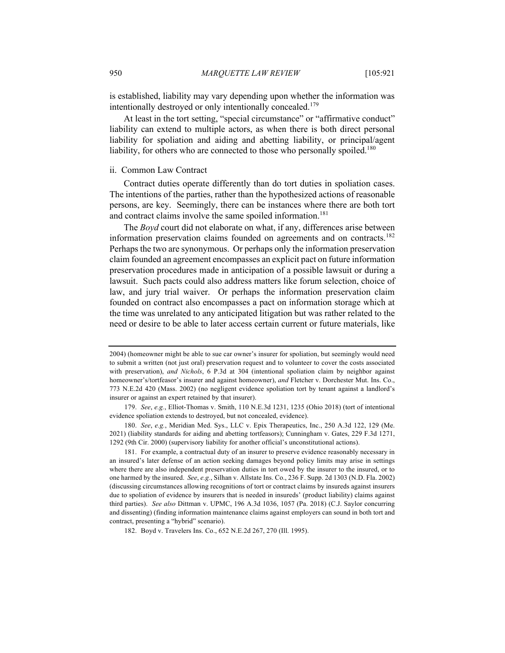is established, liability may vary depending upon whether the information was intentionally destroyed or only intentionally concealed.<sup>179</sup>

At least in the tort setting, "special circumstance" or "affirmative conduct" liability can extend to multiple actors, as when there is both direct personal liability for spoliation and aiding and abetting liability, or principal/agent liability, for others who are connected to those who personally spoiled.<sup>180</sup>

#### ii. Common Law Contract

Contract duties operate differently than do tort duties in spoliation cases. The intentions of the parties, rather than the hypothesized actions of reasonable persons, are key. Seemingly, there can be instances where there are both tort and contract claims involve the same spoiled information.<sup>181</sup>

The *Boyd* court did not elaborate on what, if any, differences arise between information preservation claims founded on agreements and on contracts.<sup>182</sup> Perhaps the two are synonymous. Or perhaps only the information preservation claim founded an agreement encompasses an explicit pact on future information preservation procedures made in anticipation of a possible lawsuit or during a lawsuit. Such pacts could also address matters like forum selection, choice of law, and jury trial waiver. Or perhaps the information preservation claim founded on contract also encompasses a pact on information storage which at the time was unrelated to any anticipated litigation but was rather related to the need or desire to be able to later access certain current or future materials, like

<sup>2004) (</sup>homeowner might be able to sue car owner's insurer for spoliation, but seemingly would need to submit a written (not just oral) preservation request and to volunteer to cover the costs associated with preservation), *and Nichols*, 6 P.3d at 304 (intentional spoliation claim by neighbor against homeowner's/tortfeasor's insurer and against homeowner), *and* Fletcher v. Dorchester Mut. Ins. Co., 773 N.E.2d 420 (Mass. 2002) (no negligent evidence spoliation tort by tenant against a landlord's insurer or against an expert retained by that insurer).

<sup>179.</sup> *See*, *e.g.*, Elliot-Thomas v. Smith, 110 N.E.3d 1231, 1235 (Ohio 2018) (tort of intentional evidence spoliation extends to destroyed, but not concealed, evidence).

<sup>180.</sup> *See*, *e.g.*, Meridian Med. Sys., LLC v. Epix Therapeutics, Inc., 250 A.3d 122, 129 (Me. 2021) (liability standards for aiding and abetting tortfeasors); Cunningham v. Gates, 229 F.3d 1271, 1292 (9th Cir. 2000) (supervisory liability for another official's unconstitutional actions).

<sup>181.</sup> For example, a contractual duty of an insurer to preserve evidence reasonably necessary in an insured's later defense of an action seeking damages beyond policy limits may arise in settings where there are also independent preservation duties in tort owed by the insurer to the insured, or to one harmed by the insured. *See*, *e.g.*, Silhan v. Allstate Ins. Co., 236 F. Supp. 2d 1303 (N.D. Fla. 2002) (discussing circumstances allowing recognitions of tort or contract claims by insureds against insurers due to spoliation of evidence by insurers that is needed in insureds' (product liability) claims against third parties). *See also* Dittman v. UPMC, 196 A.3d 1036, 1057 (Pa. 2018) (C.J. Saylor concurring and dissenting) (finding information maintenance claims against employers can sound in both tort and contract, presenting a "hybrid" scenario).

<sup>182.</sup> Boyd v. Travelers Ins. Co., 652 N.E.2d 267, 270 (Ill. 1995).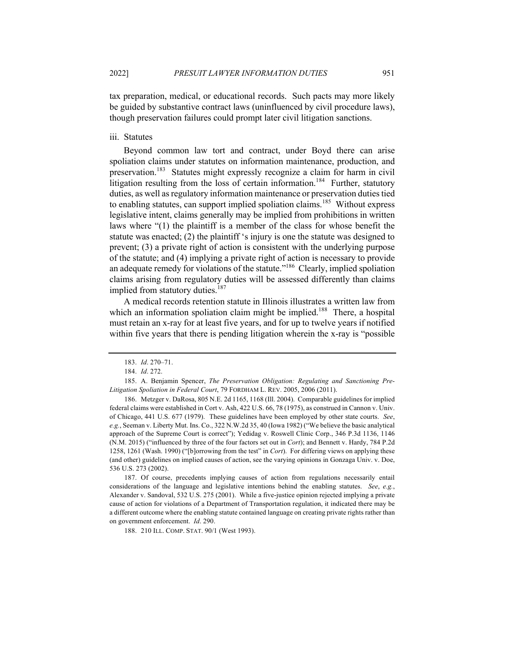tax preparation, medical, or educational records. Such pacts may more likely be guided by substantive contract laws (uninfluenced by civil procedure laws), though preservation failures could prompt later civil litigation sanctions.

#### iii. Statutes

Beyond common law tort and contract, under Boyd there can arise spoliation claims under statutes on information maintenance, production, and preservation.<sup>183</sup> Statutes might expressly recognize a claim for harm in civil litigation resulting from the loss of certain information.<sup>184</sup> Further, statutory duties, as well as regulatory information maintenance or preservation duties tied to enabling statutes, can support implied spoliation claims.<sup>185</sup> Without express legislative intent, claims generally may be implied from prohibitions in written laws where "(1) the plaintiff is a member of the class for whose benefit the statute was enacted; (2) the plaintiff 's injury is one the statute was designed to prevent; (3) a private right of action is consistent with the underlying purpose of the statute; and (4) implying a private right of action is necessary to provide an adequate remedy for violations of the statute."<sup>186</sup> Clearly, implied spoliation claims arising from regulatory duties will be assessed differently than claims implied from statutory duties.<sup>187</sup>

A medical records retention statute in Illinois illustrates a written law from which an information spoliation claim might be implied.<sup>188</sup> There, a hospital must retain an x-ray for at least five years, and for up to twelve years if notified within five years that there is pending litigation wherein the x-ray is "possible

187. Of course, precedents implying causes of action from regulations necessarily entail considerations of the language and legislative intentions behind the enabling statutes. *See*, *e.g.*, Alexander v. Sandoval, 532 U.S. 275 (2001). While a five-justice opinion rejected implying a private cause of action for violations of a Department of Transportation regulation, it indicated there may be a different outcome where the enabling statute contained language on creating private rights rather than on government enforcement. *Id*. 290.

188. 210 ILL. COMP. STAT. 90/1 (West 1993).

<sup>183.</sup> *Id*. 270–71.

<sup>184.</sup> *Id*. 272.

<sup>185.</sup> A. Benjamin Spencer, *The Preservation Obligation: Regulating and Sanctioning Pre-Litigation Spoliation in Federal Court*, 79 FORDHAM L. REV. 2005, 2006 (2011).

<sup>186.</sup> Metzger v. DaRosa, 805 N.E. 2d 1165, 1168 (Ill. 2004). Comparable guidelines for implied federal claims were established in Cort v. Ash, 422 U.S. 66, 78 (1975), as construed in Cannon v. Univ. of Chicago, 441 U.S. 677 (1979). These guidelines have been employed by other state courts. *See*, *e.g.*, Seeman v. Liberty Mut. Ins. Co., 322 N.W.2d 35, 40 (Iowa 1982) ("We believe the basic analytical approach of the Supreme Court is correct"); Yedidag v. Roswell Clinic Corp., 346 P.3d 1136, 1146 (N.M. 2015) ("influenced by three of the four factors set out in *Cort*); and Bennett v. Hardy, 784 P.2d 1258, 1261 (Wash. 1990) ("[b]orrowing from the test" in *Cort*). For differing views on applying these (and other) guidelines on implied causes of action, see the varying opinions in Gonzaga Univ. v. Doe, 536 U.S. 273 (2002).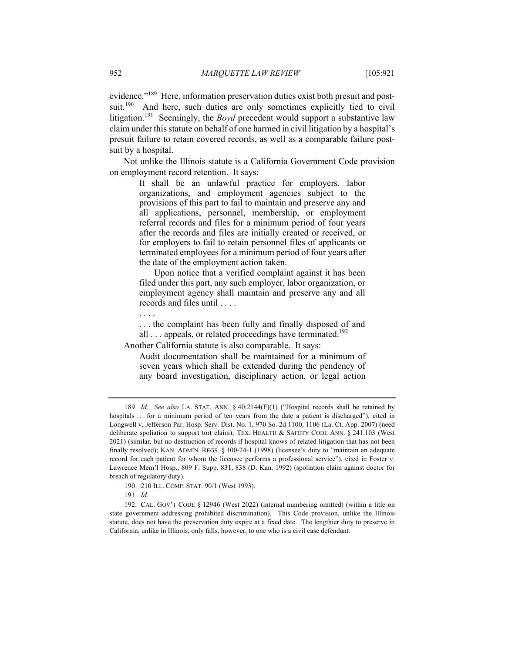evidence."<sup>189</sup> Here, information preservation duties exist both presuit and postsuit.<sup>190</sup> And here, such duties are only sometimes explicitly tied to civil litigation.<sup>191</sup> Seemingly, the *Boyd* precedent would support a substantive law claim under this statute on behalf of one harmed in civil litigation by a hospital's presuit failure to retain covered records, as well as a comparable failure postsuit by a hospital.

Not unlike the Illinois statute is a California Government Code provision on employment record retention. It says:

> It shall be an unlawful practice for employers, labor organizations, and employment agencies subject to the provisions of this part to fail to maintain and preserve any and all applications, personnel, membership, or employment referral records and files for a minimum period of four years after the records and files are initially created or received, or for employers to fail to retain personnel files of applicants or terminated employees for a minimum period of four years after the date of the employment action taken.

> Upon notice that a verified complaint against it has been filed under this part, any such employer, labor organization, or employment agency shall maintain and preserve any and all records and files until . . . .

. . . .

. . . the complaint has been fully and finally disposed of and all . . . appeals, or related proceedings have terminated.<sup>192</sup>

Another California statute is also comparable. It says:

Audit documentation shall be maintained for a minimum of seven years which shall be extended during the pendency of any board investigation, disciplinary action, or legal action

<sup>189.</sup> *Id*. *See also* LA. STAT. ANN. § 40:2144(F)(1) ("Hospital records shall be retained by hospitals . . . for a minimum period of ten years from the date a patient is discharged"), cited in Longwell v. Jefferson Par. Hosp. Serv. Dist. No. 1, 970 So. 2d 1100, 1106 (La. Ct. App. 2007) (need deliberate spoliation to support tort claim); TEX. HEALTH & SAFETY CODE ANN. § 241.103 (West 2021) (similar, but no destruction of records if hospital knows of related litigation that has not been finally resolved); KAN. ADMIN. REGS. § 100-24-1 (1998) (licensee's duty to "maintain an adequate record for each patient for whom the licensee performs a professional service"), cited in Foster v. Lawrence Mem'l Hosp., 809 F. Supp. 831, 838 (D. Kan. 1992) (spoliation claim against doctor for breach of regulatory duty).

<sup>190.</sup> 210 ILL. COMP. STAT. 90/1 (West 1993).

<sup>191.</sup> *Id*.

<sup>192.</sup> CAL. GOV'T CODE § 12946 (West 2022) (internal numbering omitted) (within a title on state government addressing prohibited discrimination). This Code provision, unlike the Illinois statute, does not have the preservation duty expire at a fixed date. The lengthier duty to preserve in California, unlike in Illinois, only falls, however, to one who is a civil case defendant.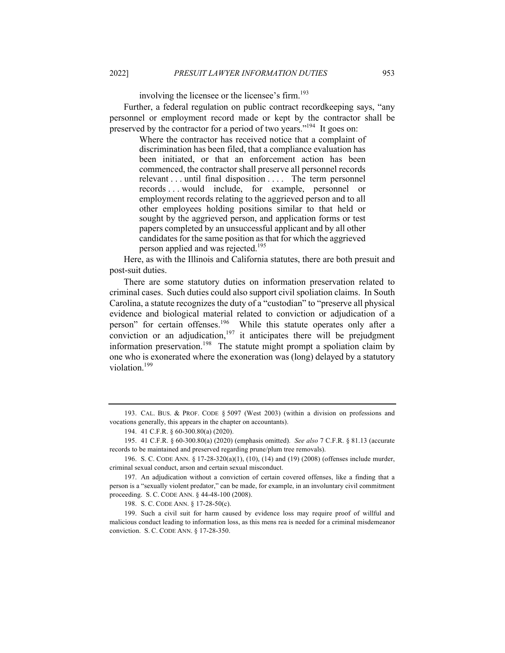involving the licensee or the licensee's firm. 193

Further, a federal regulation on public contract recordkeeping says, "any personnel or employment record made or kept by the contractor shall be preserved by the contractor for a period of two years."<sup>194</sup> It goes on:

> Where the contractor has received notice that a complaint of discrimination has been filed, that a compliance evaluation has been initiated, or that an enforcement action has been commenced, the contractor shall preserve all personnel records relevant . . . until final disposition . . . . The term personnel records . . . would include, for example, personnel or employment records relating to the aggrieved person and to all other employees holding positions similar to that held or sought by the aggrieved person, and application forms or test papers completed by an unsuccessful applicant and by all other candidates for the same position as that for which the aggrieved person applied and was rejected.<sup>195</sup>

Here, as with the Illinois and California statutes, there are both presuit and post-suit duties.

There are some statutory duties on information preservation related to criminal cases. Such duties could also support civil spoliation claims. In South Carolina, a statute recognizes the duty of a "custodian" to "preserve all physical evidence and biological material related to conviction or adjudication of a person" for certain offenses.<sup>196</sup> While this statute operates only after a conviction or an adjudication,<sup>197</sup> it anticipates there will be prejudgment information preservation.198 The statute might prompt a spoliation claim by one who is exonerated where the exoneration was (long) delayed by a statutory violation.<sup>199</sup>

193. CAL. BUS. & PROF. CODE § 5097 (West 2003) (within a division on professions and vocations generally, this appears in the chapter on accountants).

198. S. C. CODE ANN. § 17-28-50(c).

199. Such a civil suit for harm caused by evidence loss may require proof of willful and malicious conduct leading to information loss, as this mens rea is needed for a criminal misdemeanor conviction. S. C. CODE ANN. § 17-28-350.

<sup>194.</sup> 41 C.F.R. § 60-300.80(a) (2020).

<sup>195.</sup> 41 C.F.R. § 60-300.80(a) (2020) (emphasis omitted). *See also* 7 C.F.R. § 81.13 (accurate records to be maintained and preserved regarding prune/plum tree removals).

<sup>196.</sup> S. C. CODE ANN. § 17-28-320(a)(1), (10), (14) and (19) (2008) (offenses include murder, criminal sexual conduct, arson and certain sexual misconduct.

<sup>197.</sup> An adjudication without a conviction of certain covered offenses, like a finding that a person is a "sexually violent predator," can be made, for example, in an involuntary civil commitment proceeding. S. C. CODE ANN. § 44-48-100 (2008).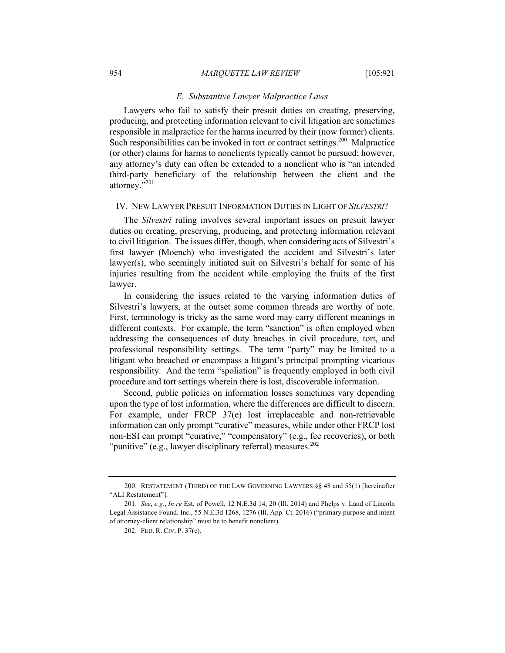#### *E. Substantive Lawyer Malpractice Laws*

Lawyers who fail to satisfy their presuit duties on creating, preserving, producing, and protecting information relevant to civil litigation are sometimes responsible in malpractice for the harms incurred by their (now former) clients. Such responsibilities can be invoked in tort or contract settings.<sup>200</sup> Malpractice (or other) claims for harms to nonclients typically cannot be pursued; however, any attorney's duty can often be extended to a nonclient who is "an intended third-party beneficiary of the relationship between the client and the attorney."201

#### IV. NEW LAWYER PRESUIT INFORMATION DUTIES IN LIGHT OF *SILVESTRI*?

The *Silvestri* ruling involves several important issues on presuit lawyer duties on creating, preserving, producing, and protecting information relevant to civil litigation. The issues differ, though, when considering acts of Silvestri's first lawyer (Moench) who investigated the accident and Silvestri's later lawyer(s), who seemingly initiated suit on Silvestri's behalf for some of his injuries resulting from the accident while employing the fruits of the first lawyer.

In considering the issues related to the varying information duties of Silvestri's lawyers, at the outset some common threads are worthy of note. First, terminology is tricky as the same word may carry different meanings in different contexts. For example, the term "sanction" is often employed when addressing the consequences of duty breaches in civil procedure, tort, and professional responsibility settings. The term "party" may be limited to a litigant who breached or encompass a litigant's principal prompting vicarious responsibility. And the term "spoliation" is frequently employed in both civil procedure and tort settings wherein there is lost, discoverable information.

Second, public policies on information losses sometimes vary depending upon the type of lost information, where the differences are difficult to discern. For example, under FRCP 37(e) lost irreplaceable and non-retrievable information can only prompt "curative" measures, while under other FRCP lost non-ESI can prompt "curative," "compensatory" (e.g., fee recoveries), or both "punitive" (e.g., lawyer disciplinary referral) measures.<sup>202</sup>

<sup>200.</sup> RESTATEMENT (THIRD) OF THE LAW GOVERNING LAWYERS §§ 48 and 55(1) [hereinafter "ALI Restatement"].

<sup>201.</sup> *See*, *e.g.*, *In re* Est. of Powell, 12 N.E.3d 14, 20 (Ill. 2014) and Phelps v. Land of Lincoln Legal Assistance Found. Inc., 55 N.E.3d 1268, 1276 (Ill. App. Ct. 2016) ("primary purpose and intent of attorney-client relationship" must be to benefit nonclient).

<sup>202.</sup> FED. R. CIV. P. 37(e).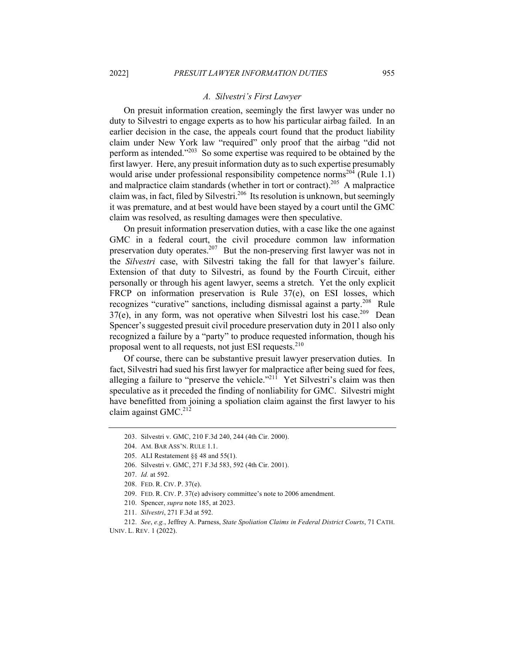#### *A. Silvestri's First Lawyer*

On presuit information creation, seemingly the first lawyer was under no duty to Silvestri to engage experts as to how his particular airbag failed. In an earlier decision in the case, the appeals court found that the product liability claim under New York law "required" only proof that the airbag "did not perform as intended."<sup>203</sup> So some expertise was required to be obtained by the first lawyer. Here, any presuit information duty as to such expertise presumably would arise under professional responsibility competence norms<sup>204</sup> (Rule 1.1) and malpractice claim standards (whether in tort or contract).<sup>205</sup> A malpractice claim was, in fact, filed by Silvestri.<sup>206</sup> Its resolution is unknown, but seemingly it was premature, and at best would have been stayed by a court until the GMC claim was resolved, as resulting damages were then speculative.

On presuit information preservation duties, with a case like the one against GMC in a federal court, the civil procedure common law information preservation duty operates.<sup>207</sup> But the non-preserving first lawyer was not in the *Silvestri* case, with Silvestri taking the fall for that lawyer's failure. Extension of that duty to Silvestri, as found by the Fourth Circuit, either personally or through his agent lawyer, seems a stretch. Yet the only explicit FRCP on information preservation is Rule 37(e), on ESI losses, which recognizes "curative" sanctions, including dismissal against a party.<sup>208</sup> Rule  $37(e)$ , in any form, was not operative when Silvestri lost his case.<sup>209</sup> Dean Spencer's suggested presuit civil procedure preservation duty in 2011 also only recognized a failure by a "party" to produce requested information, though his proposal went to all requests, not just ESI requests.<sup>210</sup>

Of course, there can be substantive presuit lawyer preservation duties. In fact, Silvestri had sued his first lawyer for malpractice after being sued for fees, alleging a failure to "preserve the vehicle."<sup>211</sup> Yet Silvestri's claim was then speculative as it preceded the finding of nonliability for GMC. Silvestri might have benefitted from joining a spoliation claim against the first lawyer to his claim against GMC.<sup>212</sup>

206. Silvestri v. GMC, 271 F.3d 583, 592 (4th Cir. 2001).

- 209. FED. R. CIV. P. 37(e) advisory committee's note to 2006 amendment.
- 210. Spencer, *supra* note 185, at 2023.
- 211. *Silvestri*, 271 F.3d at 592.

212. *See*, *e.g.*, Jeffrey A. Parness, *State Spoliation Claims in Federal District Courts*, 71 CATH. UNIV. L. REV. 1 (2022).

<sup>203.</sup> Silvestri v. GMC, 210 F.3d 240, 244 (4th Cir. 2000).

<sup>204.</sup> AM. BAR ASS'N. RULE 1.1.

<sup>205.</sup> ALI Restatement §§ 48 and 55(1).

<sup>207.</sup> *Id.* at 592.

<sup>208.</sup> FED. R. CIV. P. 37(e).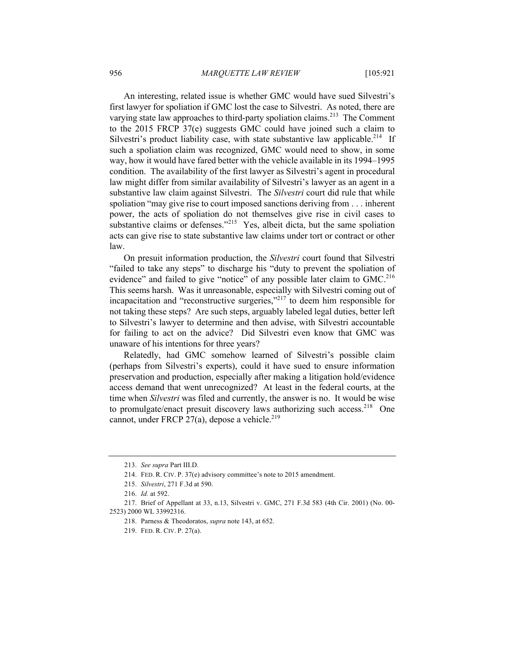An interesting, related issue is whether GMC would have sued Silvestri's first lawyer for spoliation if GMC lost the case to Silvestri. As noted, there are varying state law approaches to third-party spoliation claims.<sup>213</sup> The Comment to the 2015 FRCP 37(e) suggests GMC could have joined such a claim to Silvestri's product liability case, with state substantive law applicable.<sup>214</sup> If such a spoliation claim was recognized, GMC would need to show, in some way, how it would have fared better with the vehicle available in its 1994–1995 condition. The availability of the first lawyer as Silvestri's agent in procedural law might differ from similar availability of Silvestri's lawyer as an agent in a substantive law claim against Silvestri. The *Silvestri* court did rule that while spoliation "may give rise to court imposed sanctions deriving from . . . inherent power, the acts of spoliation do not themselves give rise in civil cases to substantive claims or defenses."<sup>215</sup> Yes, albeit dicta, but the same spoliation acts can give rise to state substantive law claims under tort or contract or other law.

On presuit information production, the *Silvestri* court found that Silvestri "failed to take any steps" to discharge his "duty to prevent the spoliation of evidence" and failed to give "notice" of any possible later claim to  $GMC<sup>216</sup>$ This seems harsh. Was it unreasonable, especially with Silvestri coming out of incapacitation and "reconstructive surgeries,"217 to deem him responsible for not taking these steps? Are such steps, arguably labeled legal duties, better left to Silvestri's lawyer to determine and then advise, with Silvestri accountable for failing to act on the advice? Did Silvestri even know that GMC was unaware of his intentions for three years?

Relatedly, had GMC somehow learned of Silvestri's possible claim (perhaps from Silvestri's experts), could it have sued to ensure information preservation and production, especially after making a litigation hold/evidence access demand that went unrecognized? At least in the federal courts, at the time when *Silvestri* was filed and currently, the answer is no. It would be wise to promulgate/enact presuit discovery laws authorizing such access.<sup>218</sup> One cannot, under FRCP 27(a), depose a vehicle.<sup>219</sup>

<sup>213.</sup> *See supra* Part III.D.

<sup>214.</sup> FED. R. CIV. P. 37(e) advisory committee's note to 2015 amendment.

<sup>215.</sup> *Silvestri*, 271 F.3d at 590.

<sup>216.</sup> *Id.* at 592.

<sup>217.</sup> Brief of Appellant at 33, n.13, Silvestri v. GMC, 271 F.3d 583 (4th Cir. 2001) (No. 00- 2523) 2000 WL 33992316.

<sup>218.</sup> Parness & Theodoratos, *supra* note 143, at 652.

<sup>219.</sup> FED. R. CIV. P. 27(a).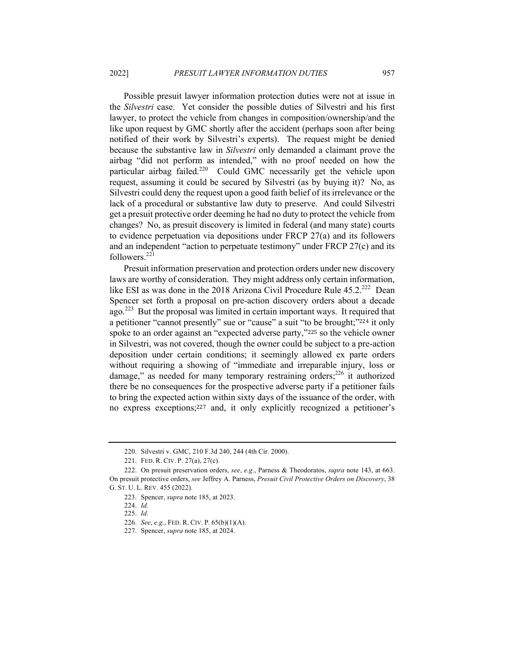Possible presuit lawyer information protection duties were not at issue in the *Silvestri* case. Yet consider the possible duties of Silvestri and his first lawyer, to protect the vehicle from changes in composition/ownership/and the like upon request by GMC shortly after the accident (perhaps soon after being notified of their work by Silvestri's experts). The request might be denied because the substantive law in *Silvestri* only demanded a claimant prove the airbag "did not perform as intended," with no proof needed on how the particular airbag failed.<sup>220</sup> Could GMC necessarily get the vehicle upon request, assuming it could be secured by Silvestri (as by buying it)? No, as Silvestri could deny the request upon a good faith belief of its irrelevance or the lack of a procedural or substantive law duty to preserve. And could Silvestri get a presuit protective order deeming he had no duty to protect the vehicle from changes? No, as presuit discovery is limited in federal (and many state) courts to evidence perpetuation via depositions under FRCP 27(a) and its followers and an independent "action to perpetuate testimony" under FRCP 27(c) and its followers.<sup>221</sup>

Presuit information preservation and protection orders under new discovery laws are worthy of consideration. They might address only certain information, like ESI as was done in the 2018 Arizona Civil Procedure Rule 45.2.<sup>222</sup> Dean Spencer set forth a proposal on pre-action discovery orders about a decade ago.<sup>223</sup> But the proposal was limited in certain important ways. It required that a petitioner "cannot presently" sue or "cause" a suit "to be brought;"<sup>224</sup> it only spoke to an order against an "expected adverse party,"<sup>225</sup> so the vehicle owner in Silvestri, was not covered, though the owner could be subject to a pre-action deposition under certain conditions; it seemingly allowed ex parte orders without requiring a showing of "immediate and irreparable injury, loss or damage," as needed for many temporary restraining orders; $^{226}$  it authorized there be no consequences for the prospective adverse party if a petitioner fails to bring the expected action within sixty days of the issuance of the order, with no express exceptions;<sup>227</sup> and, it only explicitly recognized a petitioner's

<sup>220.</sup> Silvestri v. GMC, 210 F.3d 240, 244 (4th Cir. 2000).

<sup>221.</sup> FED. R. CIV. P. 27(a), 27(c).

<sup>222.</sup> On presuit preservation orders, *see*, *e.g.*, Parness & Theodoratos, *supra* note 143, at 663. On presuit protective orders, *see* Jeffrey A. Parness, *Presuit Civil Protective Orders on Discovery*, 38 G. ST. U. L. REV. 455 (2022).

<sup>223.</sup> Spencer, *supra* note 185, at 2023.

<sup>224.</sup> *Id.*

<sup>225.</sup> *Id.*

<sup>226.</sup> *See*, *e.g.*, FED. R. CIV. P. 65(b)(1)(A).

<sup>227.</sup> Spencer, *supra* note 185, at 2024.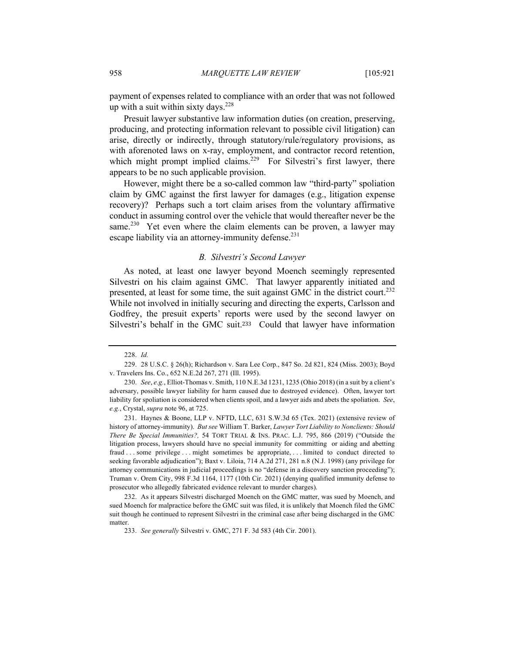payment of expenses related to compliance with an order that was not followed up with a suit within sixty days.  $228$ 

Presuit lawyer substantive law information duties (on creation, preserving, producing, and protecting information relevant to possible civil litigation) can arise, directly or indirectly, through statutory/rule/regulatory provisions, as with aforenoted laws on x-ray, employment, and contractor record retention, which might prompt implied claims.<sup>229</sup> For Silvestri's first lawyer, there appears to be no such applicable provision.

However, might there be a so-called common law "third-party" spoliation claim by GMC against the first lawyer for damages (e.g., litigation expense recovery)? Perhaps such a tort claim arises from the voluntary affirmative conduct in assuming control over the vehicle that would thereafter never be the same.<sup>230</sup> Yet even where the claim elements can be proven, a lawyer may escape liability via an attorney-immunity defense.<sup>231</sup>

#### *B. Silvestri's Second Lawyer*

As noted, at least one lawyer beyond Moench seemingly represented Silvestri on his claim against GMC. That lawyer apparently initiated and presented, at least for some time, the suit against GMC in the district court.<sup>232</sup> While not involved in initially securing and directing the experts, Carlsson and Godfrey, the presuit experts' reports were used by the second lawyer on Silvestri's behalf in the GMC suit.233 Could that lawyer have information

<sup>228.</sup> *Id.*

<sup>229.</sup> 28 U.S.C. § 26(h); Richardson v. Sara Lee Corp., 847 So. 2d 821, 824 (Miss. 2003); Boyd v. Travelers Ins. Co., 652 N.E.2d 267, 271 (Ill. 1995).

<sup>230.</sup> *See*, *e.g.*, Elliot-Thomas v. Smith, 110 N.E.3d 1231, 1235 (Ohio 2018) (in a suit by a client's adversary, possible lawyer liability for harm caused due to destroyed evidence). Often, lawyer tort liability for spoliation is considered when clients spoil, and a lawyer aids and abets the spoliation. *See*, *e.g.*, Crystal, *supra* note 96, at 725.

<sup>231.</sup> Haynes & Boone, LLP v. NFTD, LLC, 631 S.W.3d 65 (Tex. 2021) (extensive review of history of attorney-immunity). *But see* William T. Barker, *Lawyer Tort Liability to Nonclients: Should There Be Special Immunities?,* 54 TORT TRIAL & INS. PRAC. L.J. 795, 866 (2019) ("Outside the litigation process, lawyers should have no special immunity for committing or aiding and abetting fraud . . . some privilege . . . might sometimes be appropriate, . . . limited to conduct directed to seeking favorable adjudication"); Baxt v. Liloia, 714 A.2d 271, 281 n.8 (N.J. 1998) (any privilege for attorney communications in judicial proceedings is no "defense in a discovery sanction proceeding"); Truman v. Orem City, 998 F.3d 1164, 1177 (10th Cir. 2021) (denying qualified immunity defense to prosecutor who allegedly fabricated evidence relevant to murder charges).

<sup>232.</sup> As it appears Silvestri discharged Moench on the GMC matter, was sued by Moench, and sued Moench for malpractice before the GMC suit was filed, it is unlikely that Moench filed the GMC suit though he continued to represent Silvestri in the criminal case after being discharged in the GMC matter.

<sup>233.</sup> *See generally* Silvestri v. GMC, 271 F. 3d 583 (4th Cir. 2001).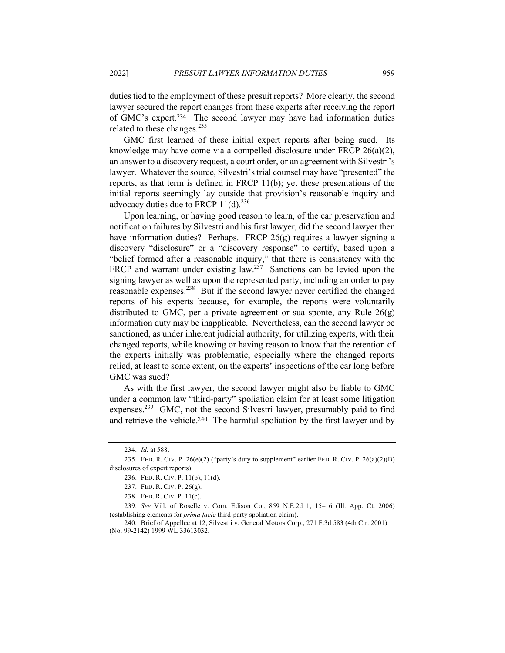duties tied to the employment of these presuit reports? More clearly, the second lawyer secured the report changes from these experts after receiving the report of GMC's expert.234 The second lawyer may have had information duties related to these changes. $^{235}$ 

GMC first learned of these initial expert reports after being sued. Its knowledge may have come via a compelled disclosure under FRCP 26(a)(2), an answer to a discovery request, a court order, or an agreement with Silvestri's lawyer. Whatever the source, Silvestri's trial counsel may have "presented" the reports, as that term is defined in FRCP 11(b); yet these presentations of the initial reports seemingly lay outside that provision's reasonable inquiry and advocacy duties due to FRCP  $11(d).^{236}$ 

Upon learning, or having good reason to learn, of the car preservation and notification failures by Silvestri and his first lawyer, did the second lawyer then have information duties? Perhaps. FRCP 26(g) requires a lawyer signing a discovery "disclosure" or a "discovery response" to certify, based upon a "belief formed after a reasonable inquiry," that there is consistency with the FRCP and warrant under existing law.<sup>237</sup> Sanctions can be levied upon the signing lawyer as well as upon the represented party, including an order to pay reasonable expenses.<sup>238</sup> But if the second lawyer never certified the changed reports of his experts because, for example, the reports were voluntarily distributed to GMC, per a private agreement or sua sponte, any Rule 26(g) information duty may be inapplicable. Nevertheless, can the second lawyer be sanctioned, as under inherent judicial authority, for utilizing experts, with their changed reports, while knowing or having reason to know that the retention of the experts initially was problematic, especially where the changed reports relied, at least to some extent, on the experts' inspections of the car long before GMC was sued?

As with the first lawyer, the second lawyer might also be liable to GMC under a common law "third-party" spoliation claim for at least some litigation expenses.<sup>239</sup> GMC, not the second Silvestri lawyer, presumably paid to find and retrieve the vehicle.240 The harmful spoliation by the first lawyer and by

<sup>234.</sup> *Id.* at 588.

<sup>235.</sup> FED. R. CIV. P. 26(e)(2) ("party's duty to supplement" earlier FED. R. CIV. P. 26(a)(2)(B) disclosures of expert reports).

<sup>236.</sup> FED. R. CIV. P. 11(b), 11(d).

<sup>237.</sup> FED. R. CIV. P. 26(g).

<sup>238.</sup> FED. R. CIV. P. 11(c).

<sup>239.</sup> *See* Vill. of Roselle v. Com. Edison Co., 859 N.E.2d 1, 15–16 (Ill. App. Ct. 2006) (establishing elements for *prima facie* third-party spoliation claim).

<sup>240.</sup> Brief of Appellee at 12, Silvestri v. General Motors Corp., 271 F.3d 583 (4th Cir. 2001) (No. 99-2142) 1999 WL 33613032.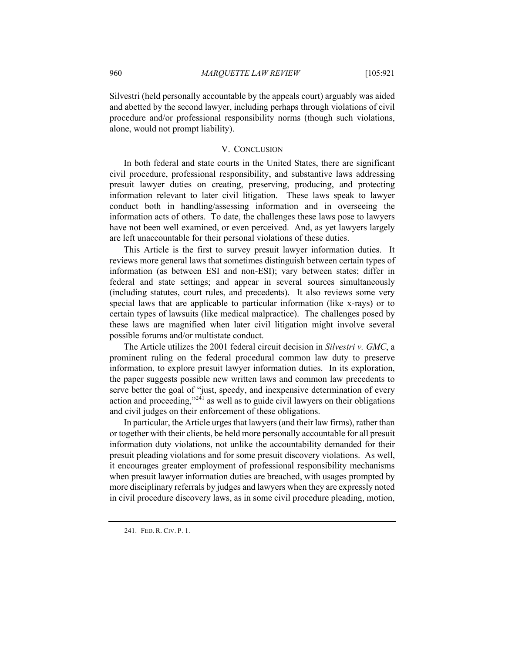Silvestri (held personally accountable by the appeals court) arguably was aided and abetted by the second lawyer, including perhaps through violations of civil procedure and/or professional responsibility norms (though such violations, alone, would not prompt liability).

#### V. CONCLUSION

In both federal and state courts in the United States, there are significant civil procedure, professional responsibility, and substantive laws addressing presuit lawyer duties on creating, preserving, producing, and protecting information relevant to later civil litigation. These laws speak to lawyer conduct both in handling/assessing information and in overseeing the information acts of others. To date, the challenges these laws pose to lawyers have not been well examined, or even perceived. And, as yet lawyers largely are left unaccountable for their personal violations of these duties.

This Article is the first to survey presuit lawyer information duties. It reviews more general laws that sometimes distinguish between certain types of information (as between ESI and non-ESI); vary between states; differ in federal and state settings; and appear in several sources simultaneously (including statutes, court rules, and precedents). It also reviews some very special laws that are applicable to particular information (like x-rays) or to certain types of lawsuits (like medical malpractice). The challenges posed by these laws are magnified when later civil litigation might involve several possible forums and/or multistate conduct.

The Article utilizes the 2001 federal circuit decision in *Silvestri v. GMC*, a prominent ruling on the federal procedural common law duty to preserve information, to explore presuit lawyer information duties. In its exploration, the paper suggests possible new written laws and common law precedents to serve better the goal of "just, speedy, and inexpensive determination of every action and proceeding," $24$ <sup>1</sup> as well as to guide civil lawyers on their obligations and civil judges on their enforcement of these obligations.

In particular, the Article urges that lawyers (and their law firms), rather than or together with their clients, be held more personally accountable for all presuit information duty violations, not unlike the accountability demanded for their presuit pleading violations and for some presuit discovery violations. As well, it encourages greater employment of professional responsibility mechanisms when presuit lawyer information duties are breached, with usages prompted by more disciplinary referrals by judges and lawyers when they are expressly noted in civil procedure discovery laws, as in some civil procedure pleading, motion,

<sup>241.</sup> FED. R. CIV. P. 1.